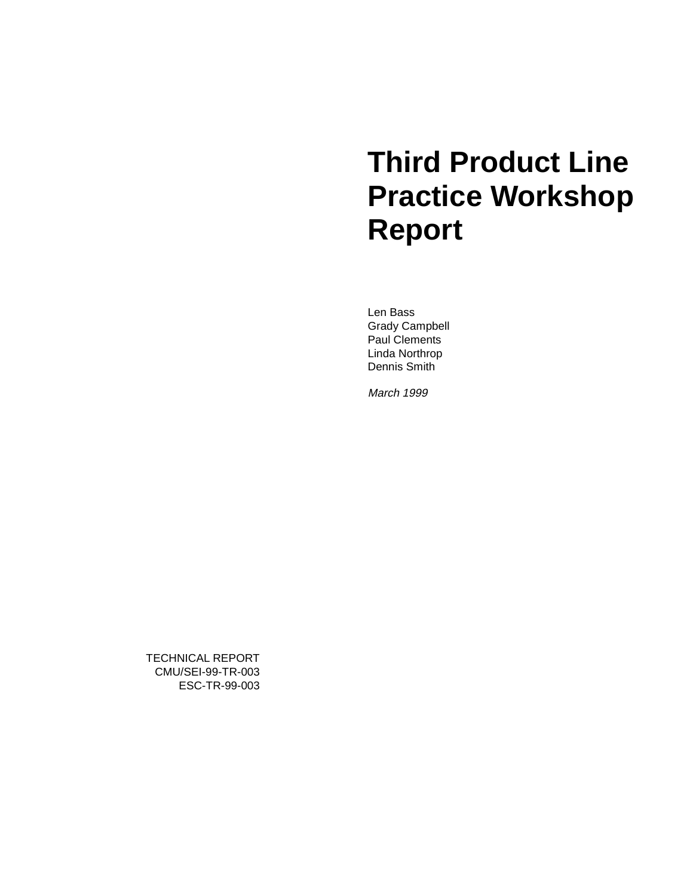# **Third Product Line Practice Workshop Report**

Len Bass Grady Campbell Paul Clements Linda Northrop Dennis Smith

March 1999

TECHNICAL REPORT CMU/SEI-99-TR-003 ESC-TR-99-003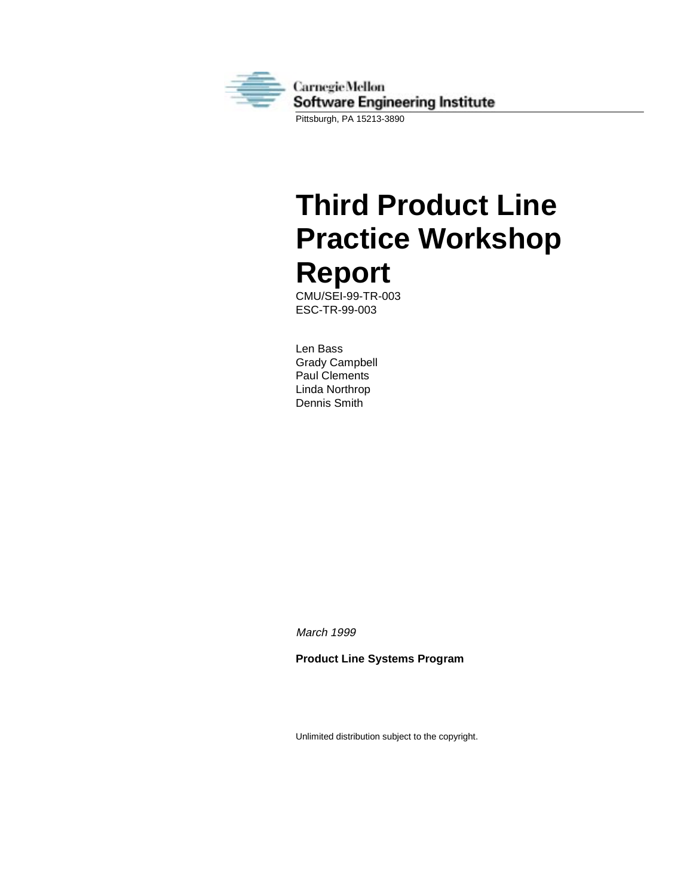

**Third Product Line Practice Workshop Report**

CMU/SEI-99-TR-003 ESC-TR-99-003

Len Bass Grady Campbell Paul Clements Linda Northrop Dennis Smith

March 1999

**Product Line Systems Program**

Unlimited distribution subject to the copyright.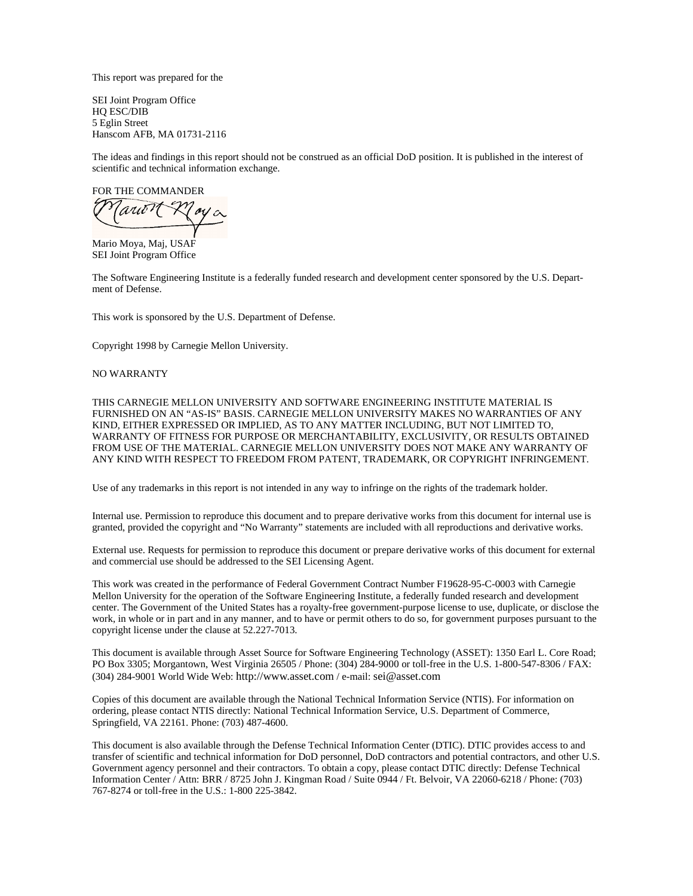This report was prepared for the

SEI Joint Program Office HQ ESC/DIB 5 Eglin Street Hanscom AFB, MA 01731-2116

The ideas and findings in this report should not be construed as an official DoD position. It is published in the interest of scientific and technical information exchange.

FOR THE COMMANDER

'arit 11

Mario Moya, Maj, USAF SEI Joint Program Office

The Software Engineering Institute is a federally funded research and development center sponsored by the U.S. Department of Defense.

This work is sponsored by the U.S. Department of Defense.

Copyright 1998 by Carnegie Mellon University.

#### NO WARRANTY

THIS CARNEGIE MELLON UNIVERSITY AND SOFTWARE ENGINEERING INSTITUTE MATERIAL IS FURNISHED ON AN "AS-IS" BASIS. CARNEGIE MELLON UNIVERSITY MAKES NO WARRANTIES OF ANY KIND, EITHER EXPRESSED OR IMPLIED, AS TO ANY MATTER INCLUDING, BUT NOT LIMITED TO, WARRANTY OF FITNESS FOR PURPOSE OR MERCHANTABILITY, EXCLUSIVITY, OR RESULTS OBTAINED FROM USE OF THE MATERIAL. CARNEGIE MELLON UNIVERSITY DOES NOT MAKE ANY WARRANTY OF ANY KIND WITH RESPECT TO FREEDOM FROM PATENT, TRADEMARK, OR COPYRIGHT INFRINGEMENT.

Use of any trademarks in this report is not intended in any way to infringe on the rights of the trademark holder.

Internal use. Permission to reproduce this document and to prepare derivative works from this document for internal use is granted, provided the copyright and "No Warranty" statements are included with all reproductions and derivative works.

External use. Requests for permission to reproduce this document or prepare derivative works of this document for external and commercial use should be addressed to the SEI Licensing Agent.

This work was created in the performance of Federal Government Contract Number F19628-95-C-0003 with Carnegie Mellon University for the operation of the Software Engineering Institute, a federally funded research and development center. The Government of the United States has a royalty-free government-purpose license to use, duplicate, or disclose the work, in whole or in part and in any manner, and to have or permit others to do so, for government purposes pursuant to the copyright license under the clause at 52.227-7013.

This document is available through Asset Source for Software Engineering Technology (ASSET): 1350 Earl L. Core Road; PO Box 3305; Morgantown, West Virginia 26505 / Phone: (304) 284-9000 or toll-free in the U.S. 1-800-547-8306 / FAX: (304) 284-9001 World Wide Web: http://www.asset.com / e-mail: sei@asset.com

Copies of this document are available through the National Technical Information Service (NTIS). For information on ordering, please contact NTIS directly: National Technical Information Service, U.S. Department of Commerce, Springfield, VA 22161. Phone: (703) 487-4600.

This document is also available through the Defense Technical Information Center (DTIC). DTIC provides access to and transfer of scientific and technical information for DoD personnel, DoD contractors and potential contractors, and other U.S. Government agency personnel and their contractors. To obtain a copy, please contact DTIC directly: Defense Technical Information Center / Attn: BRR / 8725 John J. Kingman Road / Suite 0944 / Ft. Belvoir, VA 22060-6218 / Phone: (703) 767-8274 or toll-free in the U.S.: 1-800 225-3842.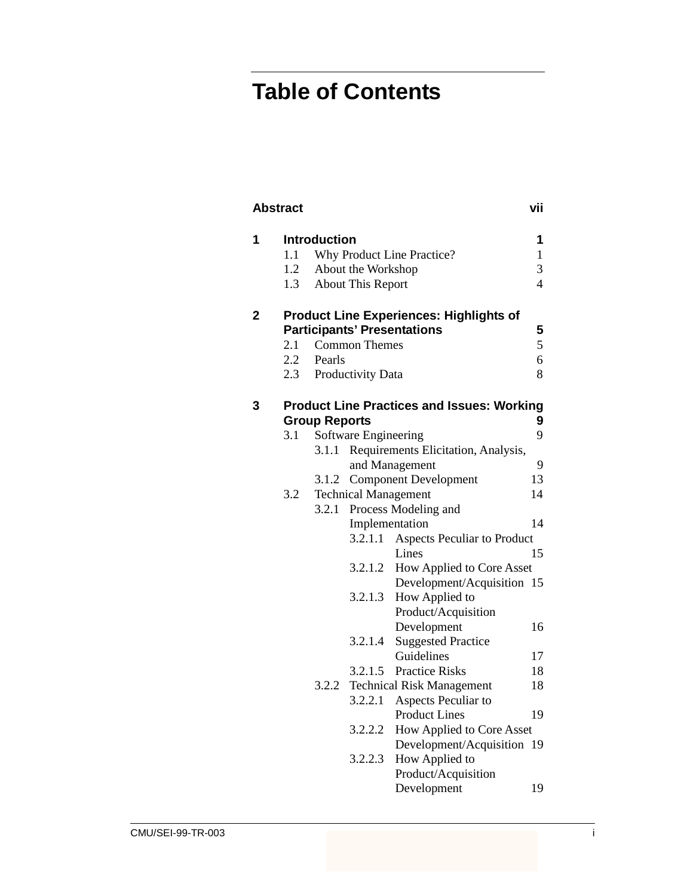## **Table of Contents**

| 1 |     | Introduction               |                             |                                                   | 1              |
|---|-----|----------------------------|-----------------------------|---------------------------------------------------|----------------|
|   | 1.1 | Why Product Line Practice? |                             |                                                   | $\mathbf{1}$   |
|   | 1.2 |                            | About the Workshop          |                                                   | 3              |
|   | 1.3 |                            | About This Report           |                                                   | $\overline{4}$ |
| 2 |     |                            |                             | <b>Product Line Experiences: Highlights of</b>    |                |
|   |     |                            |                             | <b>Participants' Presentations</b>                | 5              |
|   | 2.1 |                            | <b>Common Themes</b>        |                                                   | 5              |
|   | 2.2 | Pearls                     |                             |                                                   | 6              |
|   | 2.3 |                            | Productivity Data           |                                                   | 8              |
|   |     |                            |                             |                                                   |                |
| 3 |     | <b>Group Reports</b>       |                             | <b>Product Line Practices and Issues: Working</b> | 9              |
|   | 3.1 |                            | Software Engineering        |                                                   | 9              |
|   |     | 3.1.1                      |                             | Requirements Elicitation, Analysis,               |                |
|   |     |                            |                             | and Management                                    | 9              |
|   |     | 3.1.2                      |                             | <b>Component Development</b>                      | 13             |
|   | 3.2 |                            | <b>Technical Management</b> |                                                   | 14             |
|   |     | 3.2.1                      |                             | Process Modeling and                              |                |
|   |     |                            | Implementation              |                                                   | 14             |
|   |     |                            | 3.2.1.1                     | Aspects Peculiar to Product                       |                |
|   |     |                            |                             | Lines                                             | 15             |
|   |     |                            | 3.2.1.2                     | How Applied to Core Asset                         |                |
|   |     |                            |                             | Development/Acquisition 15                        |                |
|   |     |                            | 3.2.1.3                     | How Applied to                                    |                |
|   |     |                            |                             | Product/Acquisition                               |                |
|   |     |                            |                             | Development                                       | 16             |
|   |     |                            | 3.2.1.4                     | <b>Suggested Practice</b>                         |                |
|   |     |                            |                             | Guidelines                                        | 17             |
|   |     |                            | 3.2.1.5                     | <b>Practice Risks</b>                             | 18             |
|   |     | 3.2.2                      |                             | <b>Technical Risk Management</b>                  | 18             |
|   |     |                            | 3.2.2.1                     | Aspects Peculiar to                               |                |
|   |     |                            |                             | <b>Product Lines</b>                              | 19             |
|   |     |                            | 3.2.2.2                     | How Applied to Core Asset                         |                |
|   |     |                            |                             | Development/Acquisition                           | 19             |
|   |     |                            | 3.2.2.3                     | How Applied to                                    |                |
|   |     |                            |                             | Product/Acquisition                               |                |
|   |     |                            |                             | Development                                       | 19             |
|   |     |                            |                             |                                                   |                |

**Abstract vii**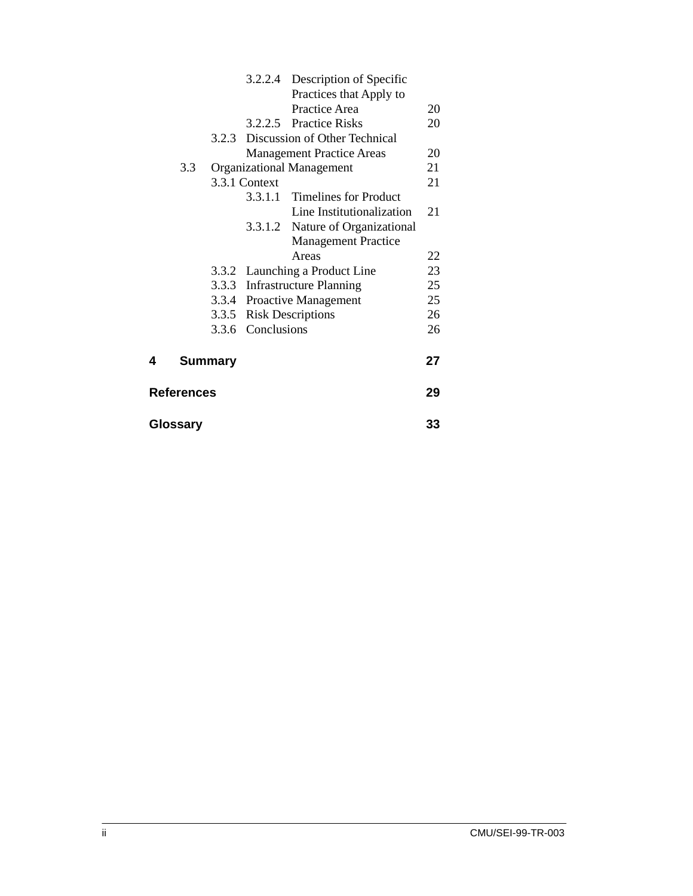|                   |     |                |                   | 3.2.2.4 Description of Specific  |    |
|-------------------|-----|----------------|-------------------|----------------------------------|----|
|                   |     |                |                   | Practices that Apply to          |    |
|                   |     |                |                   | Practice Area                    | 20 |
|                   |     |                |                   | 3.2.2.5 Practice Risks           | 20 |
|                   |     | 3.2.3          |                   | Discussion of Other Technical    |    |
|                   |     |                |                   | <b>Management Practice Areas</b> | 20 |
|                   | 3.3 |                |                   | <b>Organizational Management</b> | 21 |
|                   |     |                | 3.3.1 Context     |                                  | 21 |
|                   |     |                |                   | 3.3.1.1 Timelines for Product    |    |
|                   |     |                |                   | Line Institutionalization        | 21 |
|                   |     |                |                   | 3.3.1.2 Nature of Organizational |    |
|                   |     |                |                   | <b>Management Practice</b>       |    |
|                   |     |                |                   | Areas                            | 22 |
|                   |     |                |                   | 3.3.2 Launching a Product Line   | 23 |
|                   |     |                |                   | 3.3.3 Infrastructure Planning    | 25 |
|                   |     |                |                   | 3.3.4 Proactive Management       | 25 |
|                   |     |                |                   | 3.3.5 Risk Descriptions          | 26 |
|                   |     |                | 3.3.6 Conclusions |                                  | 26 |
| 4                 |     | <b>Summary</b> |                   |                                  | 27 |
| <b>References</b> |     |                |                   | 29                               |    |
| Glossary          |     |                |                   |                                  | 33 |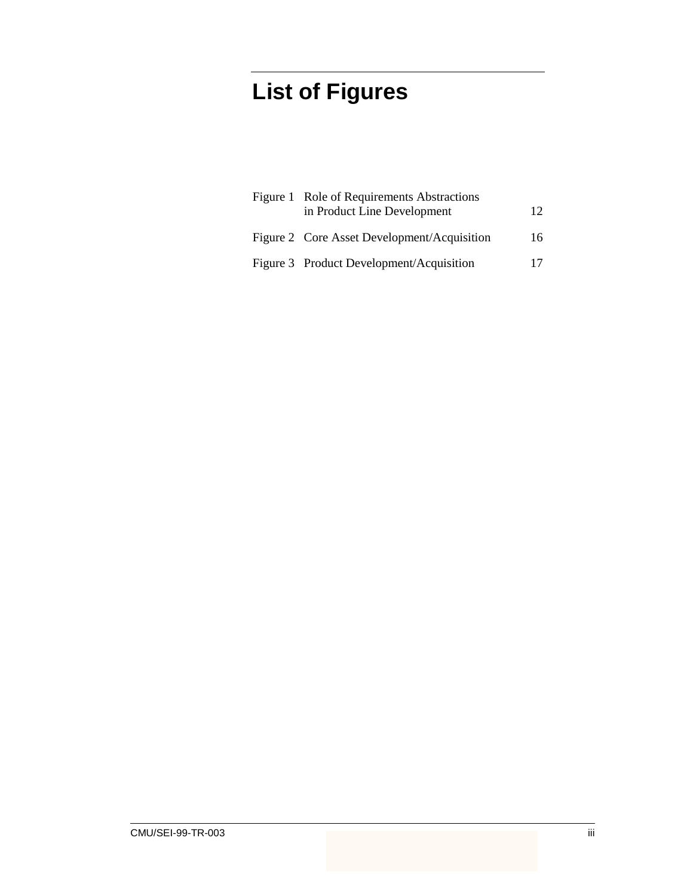## **List of Figures**

| Figure 1 Role of Requirements Abstractions<br>in Product Line Development | 12 |
|---------------------------------------------------------------------------|----|
| Figure 2 Core Asset Development/Acquisition                               | 16 |
| Figure 3 Product Development/Acquisition                                  | 17 |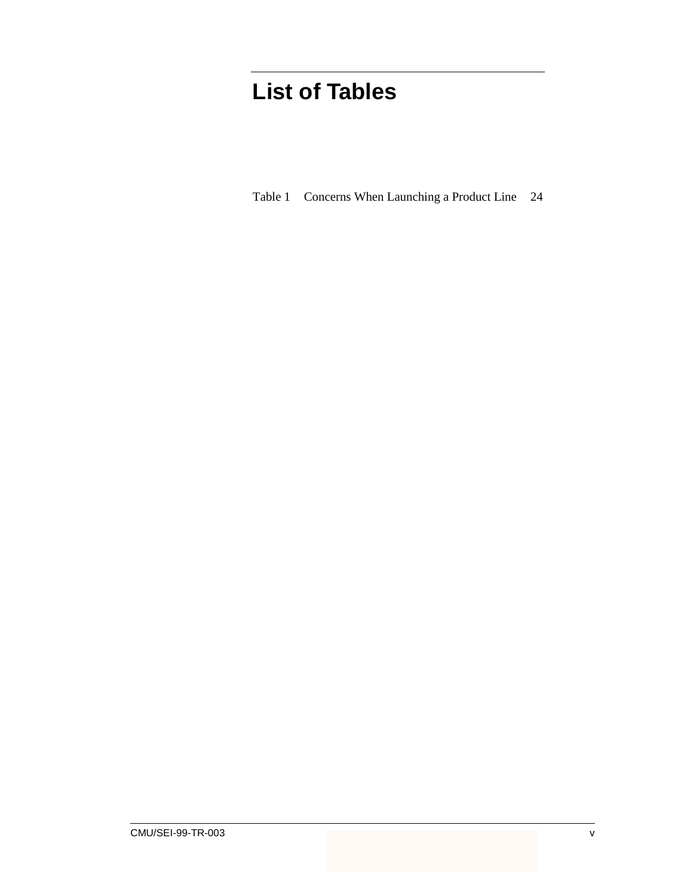## **List of Tables**

Table 1 Concerns When Launching a Product Line 24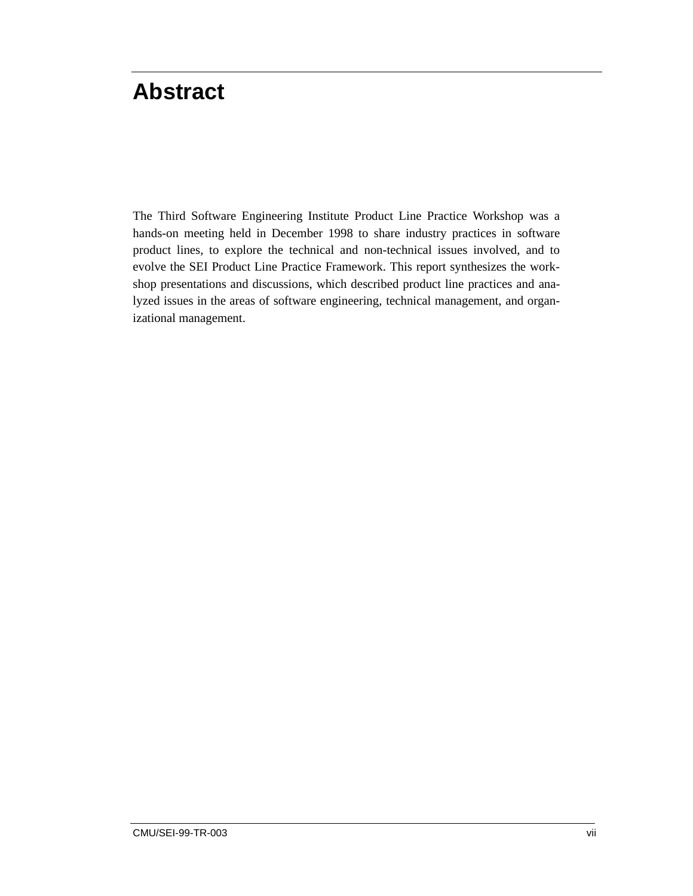## **Abstract**

The Third Software Engineering Institute Product Line Practice Workshop was a hands-on meeting held in December 1998 to share industry practices in software product lines, to explore the technical and non-technical issues involved, and to evolve the SEI Product Line Practice Framework. This report synthesizes the workshop presentations and discussions, which described product line practices and analyzed issues in the areas of software engineering, technical management, and organizational management.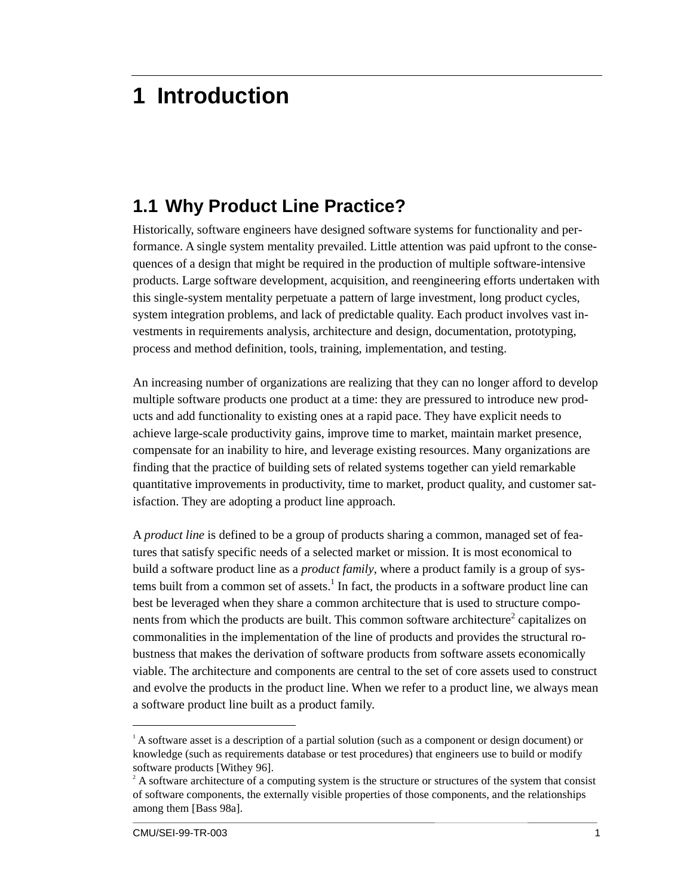## **1 Introduction**

### **1.1 Why Product Line Practice?**

Historically, software engineers have designed software systems for functionality and performance. A single system mentality prevailed. Little attention was paid upfront to the consequences of a design that might be required in the production of multiple software-intensive products. Large software development, acquisition, and reengineering efforts undertaken with this single-system mentality perpetuate a pattern of large investment, long product cycles, system integration problems, and lack of predictable quality. Each product involves vast investments in requirements analysis, architecture and design, documentation, prototyping, process and method definition, tools, training, implementation, and testing.

An increasing number of organizations are realizing that they can no longer afford to develop multiple software products one product at a time: they are pressured to introduce new products and add functionality to existing ones at a rapid pace. They have explicit needs to achieve large-scale productivity gains, improve time to market, maintain market presence, compensate for an inability to hire, and leverage existing resources. Many organizations are finding that the practice of building sets of related systems together can yield remarkable quantitative improvements in productivity, time to market, product quality, and customer satisfaction. They are adopting a product line approach.

A *product line* is defined to be a group of products sharing a common, managed set of features that satisfy specific needs of a selected market or mission. It is most economical to build a software product line as a *product family*, where a product family is a group of systems built from a common set of assets.<sup>1</sup> In fact, the products in a software product line can best be leveraged when they share a common architecture that is used to structure components from which the products are built. This common software architecture<sup>2</sup> capitalizes on commonalities in the implementation of the line of products and provides the structural robustness that makes the derivation of software products from software assets economically viable. The architecture and components are central to the set of core assets used to construct and evolve the products in the product line. When we refer to a product line, we always mean a software product line built as a product family.

 $\frac{1}{1}$  $A<sup>1</sup>$  A software asset is a description of a partial solution (such as a component or design document) or knowledge (such as requirements database or test procedures) that engineers use to build or modify software products [Withey 96].

 $2^2$  A software architecture of a computing system is the structure or structures of the system that consist of software components, the externally visible properties of those components, and the relationships among them [Bass 98a].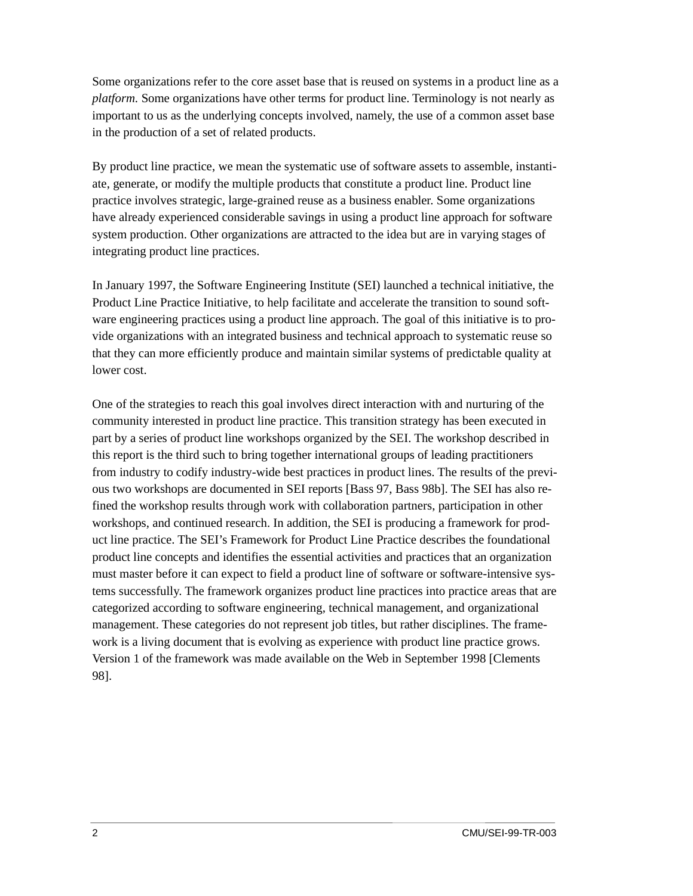Some organizations refer to the core asset base that is reused on systems in a product line as a *platform.* Some organizations have other terms for product line. Terminology is not nearly as important to us as the underlying concepts involved, namely, the use of a common asset base in the production of a set of related products.

By product line practice, we mean the systematic use of software assets to assemble, instantiate, generate, or modify the multiple products that constitute a product line. Product line practice involves strategic, large-grained reuse as a business enabler. Some organizations have already experienced considerable savings in using a product line approach for software system production. Other organizations are attracted to the idea but are in varying stages of integrating product line practices.

In January 1997, the Software Engineering Institute (SEI) launched a technical initiative, the Product Line Practice Initiative, to help facilitate and accelerate the transition to sound software engineering practices using a product line approach. The goal of this initiative is to provide organizations with an integrated business and technical approach to systematic reuse so that they can more efficiently produce and maintain similar systems of predictable quality at lower cost.

One of the strategies to reach this goal involves direct interaction with and nurturing of the community interested in product line practice. This transition strategy has been executed in part by a series of product line workshops organized by the SEI. The workshop described in this report is the third such to bring together international groups of leading practitioners from industry to codify industry-wide best practices in product lines. The results of the previous two workshops are documented in SEI reports [Bass 97, Bass 98b]. The SEI has also refined the workshop results through work with collaboration partners, participation in other workshops, and continued research. In addition, the SEI is producing a framework for product line practice. The SEI's Framework for Product Line Practice describes the foundational product line concepts and identifies the essential activities and practices that an organization must master before it can expect to field a product line of software or software-intensive systems successfully. The framework organizes product line practices into practice areas that are categorized according to software engineering, technical management, and organizational management. These categories do not represent job titles, but rather disciplines. The framework is a living document that is evolving as experience with product line practice grows. Version 1 of the framework was made available on the Web in September 1998 [Clements 98].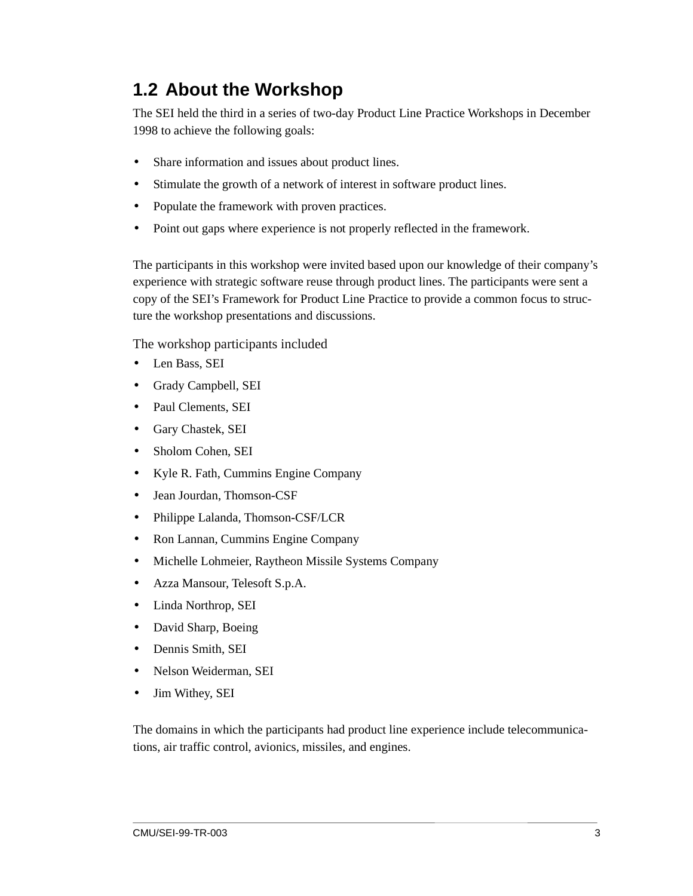### **1.2 About the Workshop**

The SEI held the third in a series of two-day Product Line Practice Workshops in December 1998 to achieve the following goals:

- Share information and issues about product lines.
- Stimulate the growth of a network of interest in software product lines.
- Populate the framework with proven practices.
- Point out gaps where experience is not properly reflected in the framework.

The participants in this workshop were invited based upon our knowledge of their company's experience with strategic software reuse through product lines. The participants were sent a copy of the SEI's Framework for Product Line Practice to provide a common focus to structure the workshop presentations and discussions.

The workshop participants included

- Len Bass, SEI
- Grady Campbell, SEI
- Paul Clements, SEI
- Gary Chastek, SEI
- Sholom Cohen, SEI
- Kyle R. Fath, Cummins Engine Company
- Jean Jourdan, Thomson-CSF
- Philippe Lalanda, Thomson-CSF/LCR
- Ron Lannan, Cummins Engine Company
- Michelle Lohmeier, Raytheon Missile Systems Company
- Azza Mansour, Telesoft S.p.A.
- Linda Northrop, SEI
- David Sharp, Boeing
- Dennis Smith, SEI
- Nelson Weiderman, SEI
- Jim Withey, SEI

The domains in which the participants had product line experience include telecommunications, air traffic control, avionics, missiles, and engines.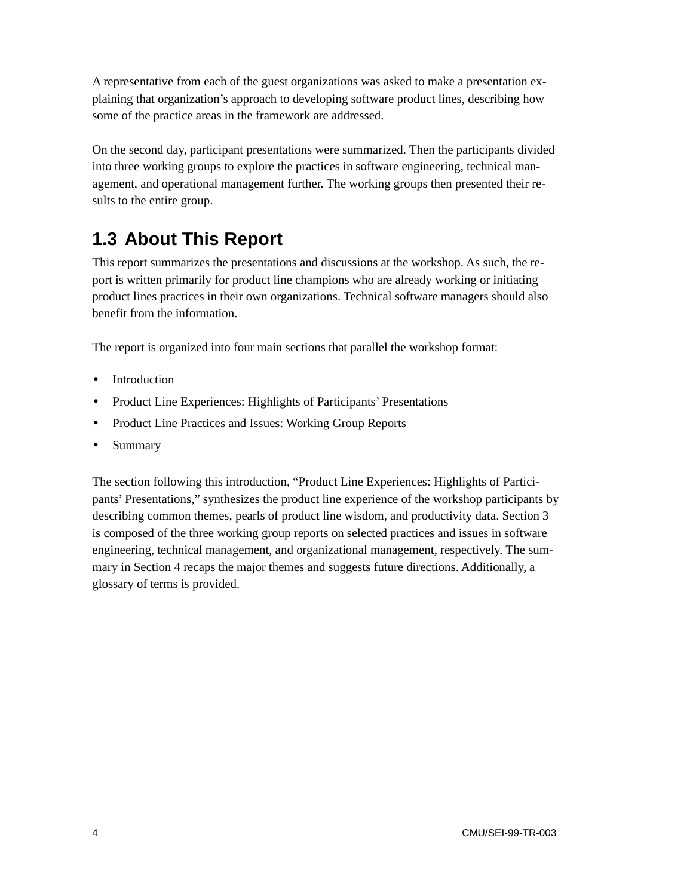A representative from each of the guest organizations was asked to make a presentation explaining that organization's approach to developing software product lines, describing how some of the practice areas in the framework are addressed.

On the second day, participant presentations were summarized. Then the participants divided into three working groups to explore the practices in software engineering, technical management, and operational management further. The working groups then presented their results to the entire group.

## **1.3 About This Report**

This report summarizes the presentations and discussions at the workshop. As such, the report is written primarily for product line champions who are already working or initiating product lines practices in their own organizations. Technical software managers should also benefit from the information.

The report is organized into four main sections that parallel the workshop format:

- **Introduction**
- Product Line Experiences: Highlights of Participants' Presentations
- Product Line Practices and Issues: Working Group Reports
- Summary

The section following this introduction, "Product Line Experiences: Highlights of Participants' Presentations," synthesizes the product line experience of the workshop participants by describing common themes, pearls of product line wisdom, and productivity data. Section 3 is composed of the three working group reports on selected practices and issues in software engineering, technical management, and organizational management, respectively. The summary in Section 4 recaps the major themes and suggests future directions. Additionally, a glossary of terms is provided.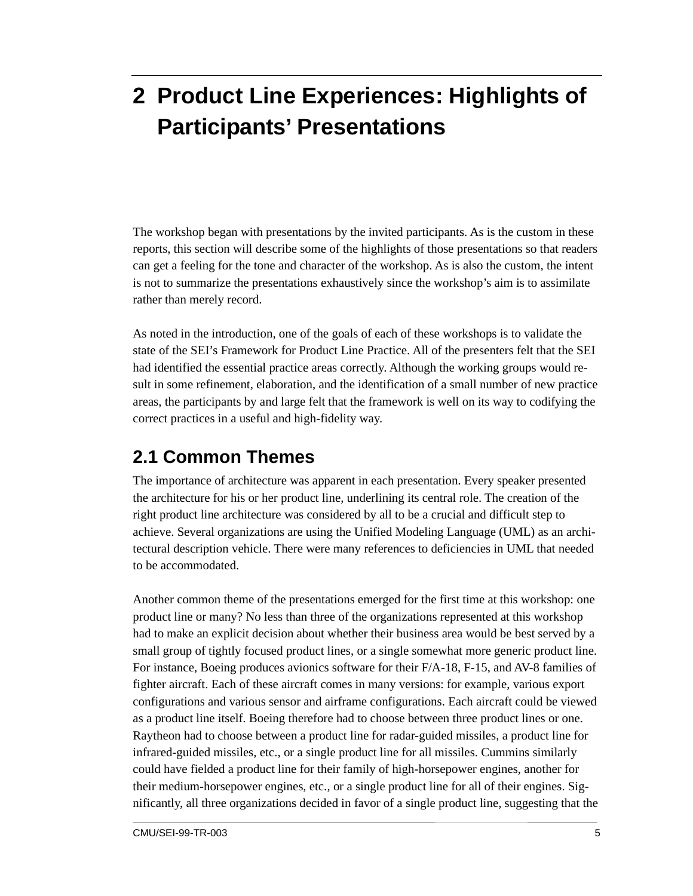## **2 Product Line Experiences: Highlights of Participants' Presentations**

The workshop began with presentations by the invited participants. As is the custom in these reports, this section will describe some of the highlights of those presentations so that readers can get a feeling for the tone and character of the workshop. As is also the custom, the intent is not to summarize the presentations exhaustively since the workshop's aim is to assimilate rather than merely record.

As noted in the introduction, one of the goals of each of these workshops is to validate the state of the SEI's Framework for Product Line Practice. All of the presenters felt that the SEI had identified the essential practice areas correctly. Although the working groups would result in some refinement, elaboration, and the identification of a small number of new practice areas, the participants by and large felt that the framework is well on its way to codifying the correct practices in a useful and high-fidelity way.

### **2.1 Common Themes**

The importance of architecture was apparent in each presentation. Every speaker presented the architecture for his or her product line, underlining its central role. The creation of the right product line architecture was considered by all to be a crucial and difficult step to achieve. Several organizations are using the Unified Modeling Language (UML) as an architectural description vehicle. There were many references to deficiencies in UML that needed to be accommodated.

Another common theme of the presentations emerged for the first time at this workshop: one product line or many? No less than three of the organizations represented at this workshop had to make an explicit decision about whether their business area would be best served by a small group of tightly focused product lines, or a single somewhat more generic product line. For instance, Boeing produces avionics software for their F/A-18, F-15, and AV-8 families of fighter aircraft. Each of these aircraft comes in many versions: for example, various export configurations and various sensor and airframe configurations. Each aircraft could be viewed as a product line itself. Boeing therefore had to choose between three product lines or one. Raytheon had to choose between a product line for radar-guided missiles, a product line for infrared-guided missiles, etc., or a single product line for all missiles. Cummins similarly could have fielded a product line for their family of high-horsepower engines, another for their medium-horsepower engines, etc., or a single product line for all of their engines. Significantly, all three organizations decided in favor of a single product line, suggesting that the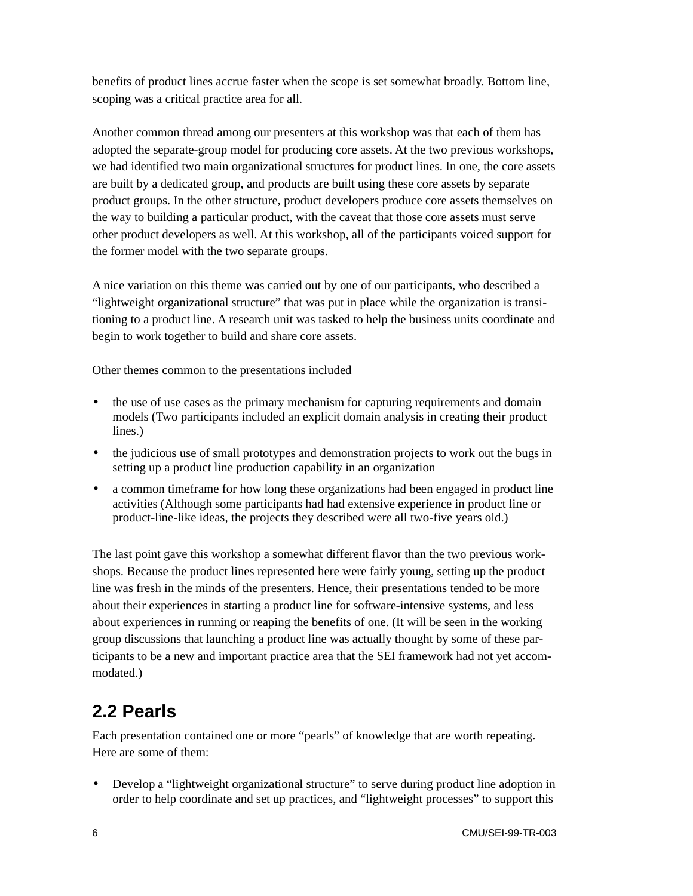benefits of product lines accrue faster when the scope is set somewhat broadly. Bottom line, scoping was a critical practice area for all.

Another common thread among our presenters at this workshop was that each of them has adopted the separate-group model for producing core assets. At the two previous workshops, we had identified two main organizational structures for product lines. In one, the core assets are built by a dedicated group, and products are built using these core assets by separate product groups. In the other structure, product developers produce core assets themselves on the way to building a particular product, with the caveat that those core assets must serve other product developers as well. At this workshop, all of the participants voiced support for the former model with the two separate groups.

A nice variation on this theme was carried out by one of our participants, who described a "lightweight organizational structure" that was put in place while the organization is transitioning to a product line. A research unit was tasked to help the business units coordinate and begin to work together to build and share core assets.

Other themes common to the presentations included

- the use of use cases as the primary mechanism for capturing requirements and domain models (Two participants included an explicit domain analysis in creating their product lines.)
- the judicious use of small prototypes and demonstration projects to work out the bugs in setting up a product line production capability in an organization
- a common timeframe for how long these organizations had been engaged in product line activities (Although some participants had had extensive experience in product line or product-line-like ideas, the projects they described were all two-five years old.)

The last point gave this workshop a somewhat different flavor than the two previous workshops. Because the product lines represented here were fairly young, setting up the product line was fresh in the minds of the presenters. Hence, their presentations tended to be more about their experiences in starting a product line for software-intensive systems, and less about experiences in running or reaping the benefits of one. (It will be seen in the working group discussions that launching a product line was actually thought by some of these participants to be a new and important practice area that the SEI framework had not yet accommodated.)

### **2.2 Pearls**

Each presentation contained one or more "pearls" of knowledge that are worth repeating. Here are some of them:

• Develop a "lightweight organizational structure" to serve during product line adoption in order to help coordinate and set up practices, and "lightweight processes" to support this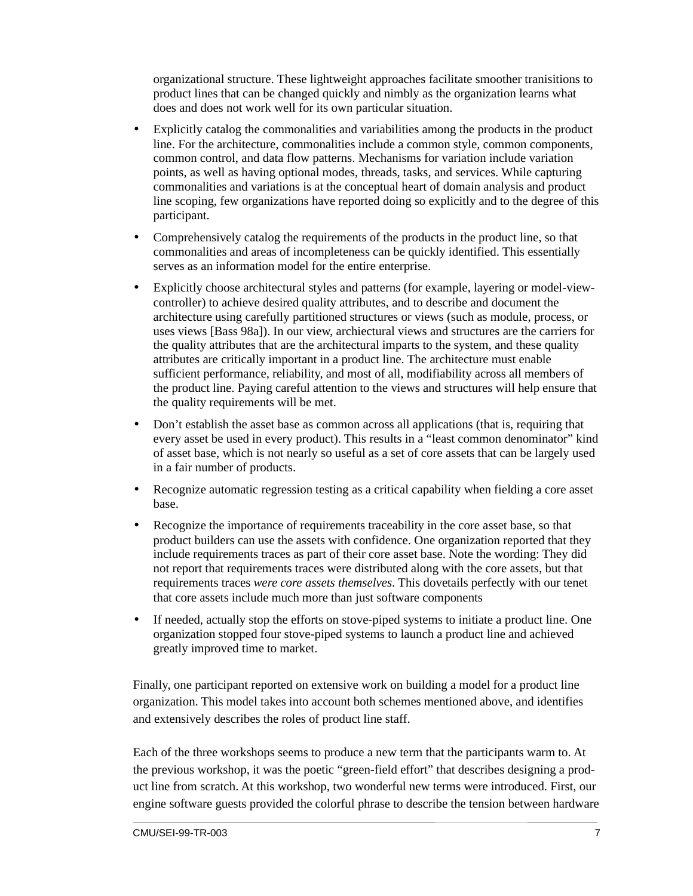organizational structure. These lightweight approaches facilitate smoother tranisitions to product lines that can be changed quickly and nimbly as the organization learns what does and does not work well for its own particular situation.

- Explicitly catalog the commonalities and variabilities among the products in the product line. For the architecture, commonalities include a common style, common components, common control, and data flow patterns. Mechanisms for variation include variation points, as well as having optional modes, threads, tasks, and services. While capturing commonalities and variations is at the conceptual heart of domain analysis and product line scoping, few organizations have reported doing so explicitly and to the degree of this participant.
- Comprehensively catalog the requirements of the products in the product line, so that commonalities and areas of incompleteness can be quickly identified. This essentially serves as an information model for the entire enterprise.
- Explicitly choose architectural styles and patterns (for example, layering or model-viewcontroller) to achieve desired quality attributes, and to describe and document the architecture using carefully partitioned structures or views (such as module, process, or uses views [Bass 98a]). In our view, archiectural views and structures are the carriers for the quality attributes that are the architectural imparts to the system, and these quality attributes are critically important in a product line. The architecture must enable sufficient performance, reliability, and most of all, modifiability across all members of the product line. Paying careful attention to the views and structures will help ensure that the quality requirements will be met.
- Don't establish the asset base as common across all applications (that is, requiring that every asset be used in every product). This results in a "least common denominator" kind of asset base, which is not nearly so useful as a set of core assets that can be largely used in a fair number of products.
- Recognize automatic regression testing as a critical capability when fielding a core asset base.
- Recognize the importance of requirements traceability in the core asset base, so that product builders can use the assets with confidence. One organization reported that they include requirements traces as part of their core asset base. Note the wording: They did not report that requirements traces were distributed along with the core assets, but that requirements traces *were core assets themselves*. This dovetails perfectly with our tenet that core assets include much more than just software components
- If needed, actually stop the efforts on stove-piped systems to initiate a product line. One organization stopped four stove-piped systems to launch a product line and achieved greatly improved time to market.

Finally, one participant reported on extensive work on building a model for a product line organization. This model takes into account both schemes mentioned above, and identifies and extensively describes the roles of product line staff.

Each of the three workshops seems to produce a new term that the participants warm to. At the previous workshop, it was the poetic "green-field effort" that describes designing a product line from scratch. At this workshop, two wonderful new terms were introduced. First, our engine software guests provided the colorful phrase to describe the tension between hardware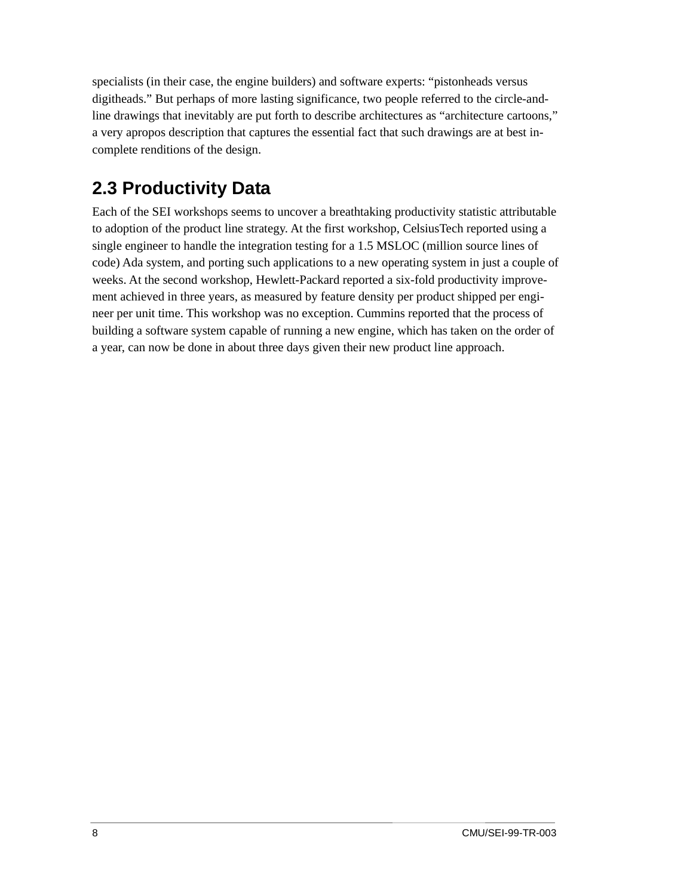specialists (in their case, the engine builders) and software experts: "pistonheads versus digitheads." But perhaps of more lasting significance, two people referred to the circle-andline drawings that inevitably are put forth to describe architectures as "architecture cartoons," a very apropos description that captures the essential fact that such drawings are at best incomplete renditions of the design.

## **2.3 Productivity Data**

Each of the SEI workshops seems to uncover a breathtaking productivity statistic attributable to adoption of the product line strategy. At the first workshop, CelsiusTech reported using a single engineer to handle the integration testing for a 1.5 MSLOC (million source lines of code) Ada system, and porting such applications to a new operating system in just a couple of weeks. At the second workshop, Hewlett-Packard reported a six-fold productivity improvement achieved in three years, as measured by feature density per product shipped per engineer per unit time. This workshop was no exception. Cummins reported that the process of building a software system capable of running a new engine, which has taken on the order of a year, can now be done in about three days given their new product line approach.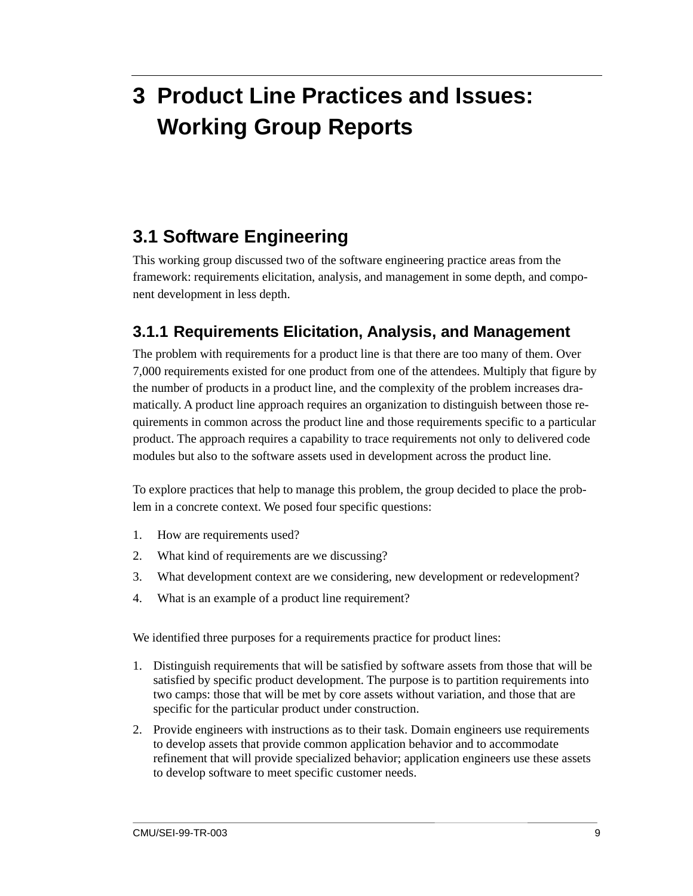## **3 Product Line Practices and Issues: Working Group Reports**

### **3.1 Software Engineering**

This working group discussed two of the software engineering practice areas from the framework: requirements elicitation, analysis, and management in some depth, and component development in less depth.

### **3.1.1 Requirements Elicitation, Analysis, and Management**

The problem with requirements for a product line is that there are too many of them. Over 7,000 requirements existed for one product from one of the attendees. Multiply that figure by the number of products in a product line, and the complexity of the problem increases dramatically. A product line approach requires an organization to distinguish between those requirements in common across the product line and those requirements specific to a particular product. The approach requires a capability to trace requirements not only to delivered code modules but also to the software assets used in development across the product line.

To explore practices that help to manage this problem, the group decided to place the problem in a concrete context. We posed four specific questions:

- 1. How are requirements used?
- 2. What kind of requirements are we discussing?
- 3. What development context are we considering, new development or redevelopment?
- 4. What is an example of a product line requirement?

We identified three purposes for a requirements practice for product lines:

- 1. Distinguish requirements that will be satisfied by software assets from those that will be satisfied by specific product development. The purpose is to partition requirements into two camps: those that will be met by core assets without variation, and those that are specific for the particular product under construction.
- 2. Provide engineers with instructions as to their task. Domain engineers use requirements to develop assets that provide common application behavior and to accommodate refinement that will provide specialized behavior; application engineers use these assets to develop software to meet specific customer needs.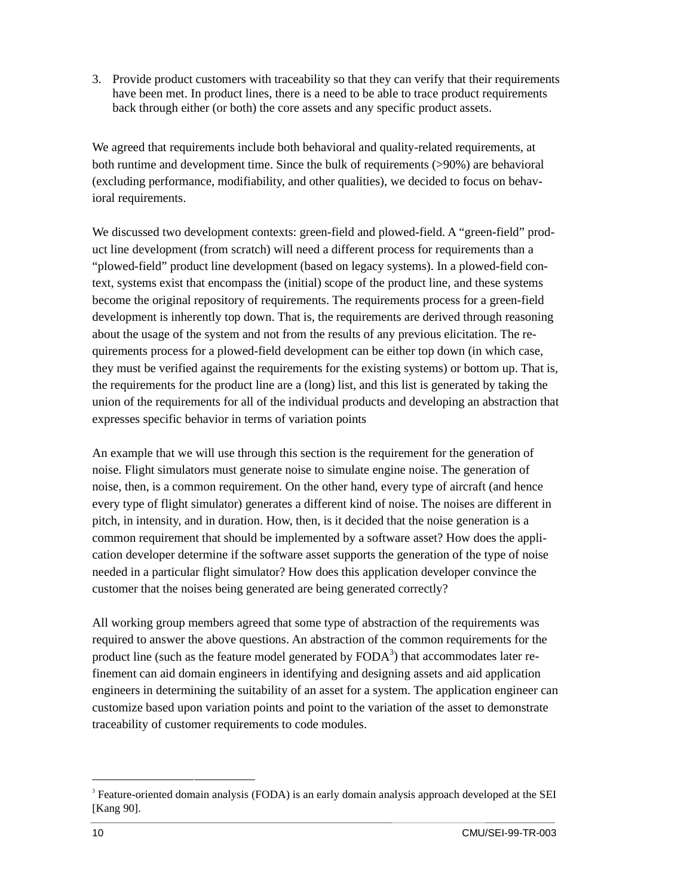3. Provide product customers with traceability so that they can verify that their requirements have been met. In product lines, there is a need to be able to trace product requirements back through either (or both) the core assets and any specific product assets.

We agreed that requirements include both behavioral and quality-related requirements, at both runtime and development time. Since the bulk of requirements (>90%) are behavioral (excluding performance, modifiability, and other qualities), we decided to focus on behavioral requirements.

We discussed two development contexts: green-field and plowed-field. A "green-field" product line development (from scratch) will need a different process for requirements than a "plowed-field" product line development (based on legacy systems). In a plowed-field context, systems exist that encompass the (initial) scope of the product line, and these systems become the original repository of requirements. The requirements process for a green-field development is inherently top down. That is, the requirements are derived through reasoning about the usage of the system and not from the results of any previous elicitation. The requirements process for a plowed-field development can be either top down (in which case, they must be verified against the requirements for the existing systems) or bottom up. That is, the requirements for the product line are a (long) list, and this list is generated by taking the union of the requirements for all of the individual products and developing an abstraction that expresses specific behavior in terms of variation points

An example that we will use through this section is the requirement for the generation of noise. Flight simulators must generate noise to simulate engine noise. The generation of noise, then, is a common requirement. On the other hand, every type of aircraft (and hence every type of flight simulator) generates a different kind of noise. The noises are different in pitch, in intensity, and in duration. How, then, is it decided that the noise generation is a common requirement that should be implemented by a software asset? How does the application developer determine if the software asset supports the generation of the type of noise needed in a particular flight simulator? How does this application developer convince the customer that the noises being generated are being generated correctly?

All working group members agreed that some type of abstraction of the requirements was required to answer the above questions. An abstraction of the common requirements for the product line (such as the feature model generated by  $FODA<sup>3</sup>$ ) that accommodates later refinement can aid domain engineers in identifying and designing assets and aid application engineers in determining the suitability of an asset for a system. The application engineer can customize based upon variation points and point to the variation of the asset to demonstrate traceability of customer requirements to code modules.

<sup>&</sup>lt;sup>2</sup><br>3 <sup>3</sup> Feature-oriented domain analysis (FODA) is an early domain analysis approach developed at the SEI [Kang 90].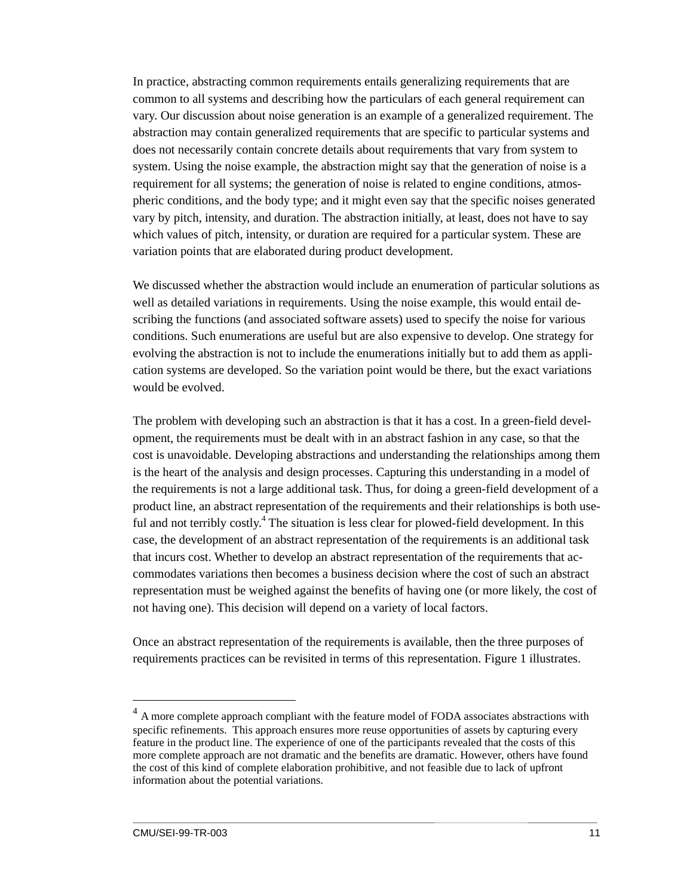In practice, abstracting common requirements entails generalizing requirements that are common to all systems and describing how the particulars of each general requirement can vary. Our discussion about noise generation is an example of a generalized requirement. The abstraction may contain generalized requirements that are specific to particular systems and does not necessarily contain concrete details about requirements that vary from system to system. Using the noise example, the abstraction might say that the generation of noise is a requirement for all systems; the generation of noise is related to engine conditions, atmospheric conditions, and the body type; and it might even say that the specific noises generated vary by pitch, intensity, and duration. The abstraction initially, at least, does not have to say which values of pitch, intensity, or duration are required for a particular system. These are variation points that are elaborated during product development.

We discussed whether the abstraction would include an enumeration of particular solutions as well as detailed variations in requirements. Using the noise example, this would entail describing the functions (and associated software assets) used to specify the noise for various conditions. Such enumerations are useful but are also expensive to develop. One strategy for evolving the abstraction is not to include the enumerations initially but to add them as application systems are developed. So the variation point would be there, but the exact variations would be evolved.

The problem with developing such an abstraction is that it has a cost. In a green-field development, the requirements must be dealt with in an abstract fashion in any case, so that the cost is unavoidable. Developing abstractions and understanding the relationships among them is the heart of the analysis and design processes. Capturing this understanding in a model of the requirements is not a large additional task. Thus, for doing a green-field development of a product line, an abstract representation of the requirements and their relationships is both useful and not terribly costly.<sup>4</sup> The situation is less clear for plowed-field development. In this case, the development of an abstract representation of the requirements is an additional task that incurs cost. Whether to develop an abstract representation of the requirements that accommodates variations then becomes a business decision where the cost of such an abstract representation must be weighed against the benefits of having one (or more likely, the cost of not having one). This decision will depend on a variety of local factors.

Once an abstract representation of the requirements is available, then the three purposes of requirements practices can be revisited in terms of this representation. Figure 1 illustrates.

 $4 \text{ A}$  more complete approach compliant with the feature model of FODA associates abstractions with specific refinements. This approach ensures more reuse opportunities of assets by capturing every feature in the product line. The experience of one of the participants revealed that the costs of this more complete approach are not dramatic and the benefits are dramatic. However, others have found the cost of this kind of complete elaboration prohibitive, and not feasible due to lack of upfront information about the potential variations.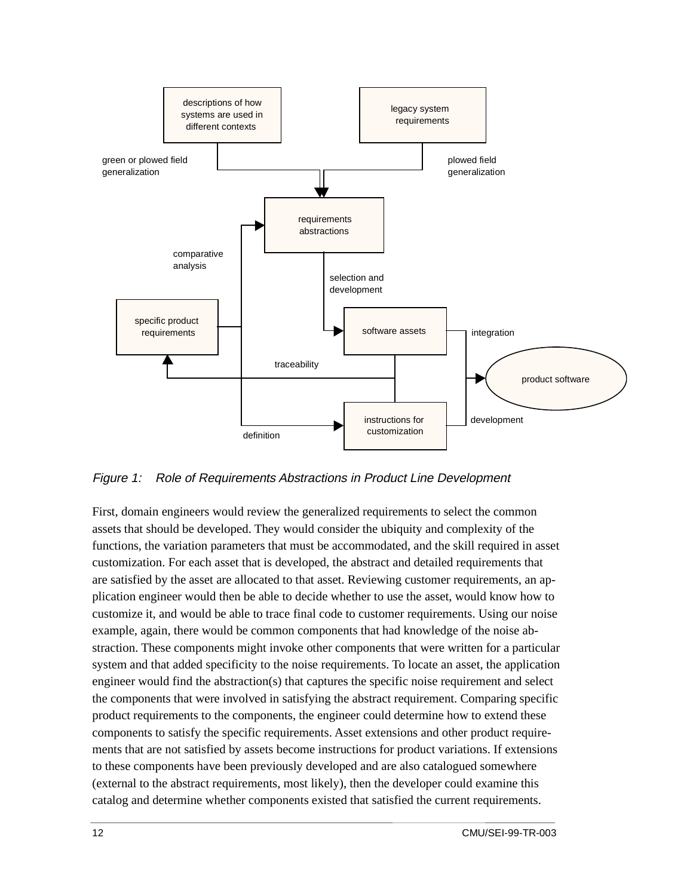

Figure 1: Role of Requirements Abstractions in Product Line Development

First, domain engineers would review the generalized requirements to select the common assets that should be developed. They would consider the ubiquity and complexity of the functions, the variation parameters that must be accommodated, and the skill required in asset customization. For each asset that is developed, the abstract and detailed requirements that are satisfied by the asset are allocated to that asset. Reviewing customer requirements, an application engineer would then be able to decide whether to use the asset, would know how to customize it, and would be able to trace final code to customer requirements. Using our noise example, again, there would be common components that had knowledge of the noise abstraction. These components might invoke other components that were written for a particular system and that added specificity to the noise requirements. To locate an asset, the application engineer would find the abstraction(s) that captures the specific noise requirement and select the components that were involved in satisfying the abstract requirement. Comparing specific product requirements to the components, the engineer could determine how to extend these components to satisfy the specific requirements. Asset extensions and other product requirements that are not satisfied by assets become instructions for product variations. If extensions to these components have been previously developed and are also catalogued somewhere (external to the abstract requirements, most likely), then the developer could examine this catalog and determine whether components existed that satisfied the current requirements.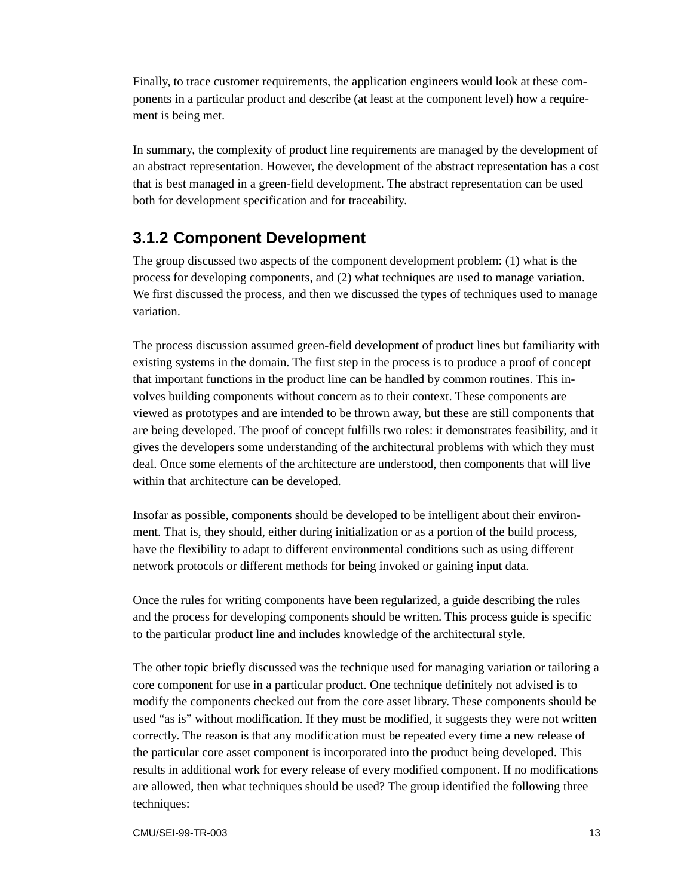Finally, to trace customer requirements, the application engineers would look at these components in a particular product and describe (at least at the component level) how a requirement is being met.

In summary, the complexity of product line requirements are managed by the development of an abstract representation. However, the development of the abstract representation has a cost that is best managed in a green-field development. The abstract representation can be used both for development specification and for traceability.

### **3.1.2 Component Development**

The group discussed two aspects of the component development problem: (1) what is the process for developing components, and (2) what techniques are used to manage variation. We first discussed the process, and then we discussed the types of techniques used to manage variation.

The process discussion assumed green-field development of product lines but familiarity with existing systems in the domain. The first step in the process is to produce a proof of concept that important functions in the product line can be handled by common routines. This involves building components without concern as to their context. These components are viewed as prototypes and are intended to be thrown away, but these are still components that are being developed. The proof of concept fulfills two roles: it demonstrates feasibility, and it gives the developers some understanding of the architectural problems with which they must deal. Once some elements of the architecture are understood, then components that will live within that architecture can be developed.

Insofar as possible, components should be developed to be intelligent about their environment. That is, they should, either during initialization or as a portion of the build process, have the flexibility to adapt to different environmental conditions such as using different network protocols or different methods for being invoked or gaining input data.

Once the rules for writing components have been regularized, a guide describing the rules and the process for developing components should be written. This process guide is specific to the particular product line and includes knowledge of the architectural style.

The other topic briefly discussed was the technique used for managing variation or tailoring a core component for use in a particular product. One technique definitely not advised is to modify the components checked out from the core asset library. These components should be used "as is" without modification. If they must be modified, it suggests they were not written correctly. The reason is that any modification must be repeated every time a new release of the particular core asset component is incorporated into the product being developed. This results in additional work for every release of every modified component. If no modifications are allowed, then what techniques should be used? The group identified the following three techniques: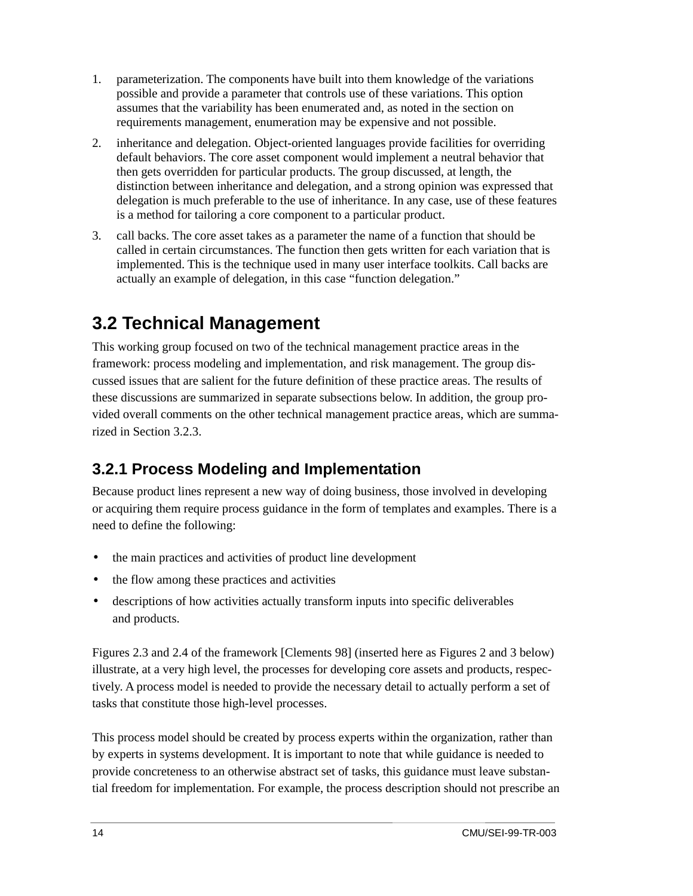- 1. parameterization. The components have built into them knowledge of the variations possible and provide a parameter that controls use of these variations. This option assumes that the variability has been enumerated and, as noted in the section on requirements management, enumeration may be expensive and not possible.
- 2. inheritance and delegation. Object-oriented languages provide facilities for overriding default behaviors. The core asset component would implement a neutral behavior that then gets overridden for particular products. The group discussed, at length, the distinction between inheritance and delegation, and a strong opinion was expressed that delegation is much preferable to the use of inheritance. In any case, use of these features is a method for tailoring a core component to a particular product.
- 3. call backs. The core asset takes as a parameter the name of a function that should be called in certain circumstances. The function then gets written for each variation that is implemented. This is the technique used in many user interface toolkits. Call backs are actually an example of delegation, in this case "function delegation."

### **3.2 Technical Management**

This working group focused on two of the technical management practice areas in the framework: process modeling and implementation, and risk management. The group discussed issues that are salient for the future definition of these practice areas. The results of these discussions are summarized in separate subsections below. In addition, the group provided overall comments on the other technical management practice areas, which are summarized in Section 3.2.3.

### **3.2.1 Process Modeling and Implementation**

Because product lines represent a new way of doing business, those involved in developing or acquiring them require process guidance in the form of templates and examples. There is a need to define the following:

- the main practices and activities of product line development
- the flow among these practices and activities
- descriptions of how activities actually transform inputs into specific deliverables and products.

Figures 2.3 and 2.4 of the framework [Clements 98] (inserted here as Figures 2 and 3 below) illustrate, at a very high level, the processes for developing core assets and products, respectively. A process model is needed to provide the necessary detail to actually perform a set of tasks that constitute those high-level processes.

This process model should be created by process experts within the organization, rather than by experts in systems development. It is important to note that while guidance is needed to provide concreteness to an otherwise abstract set of tasks, this guidance must leave substantial freedom for implementation. For example, the process description should not prescribe an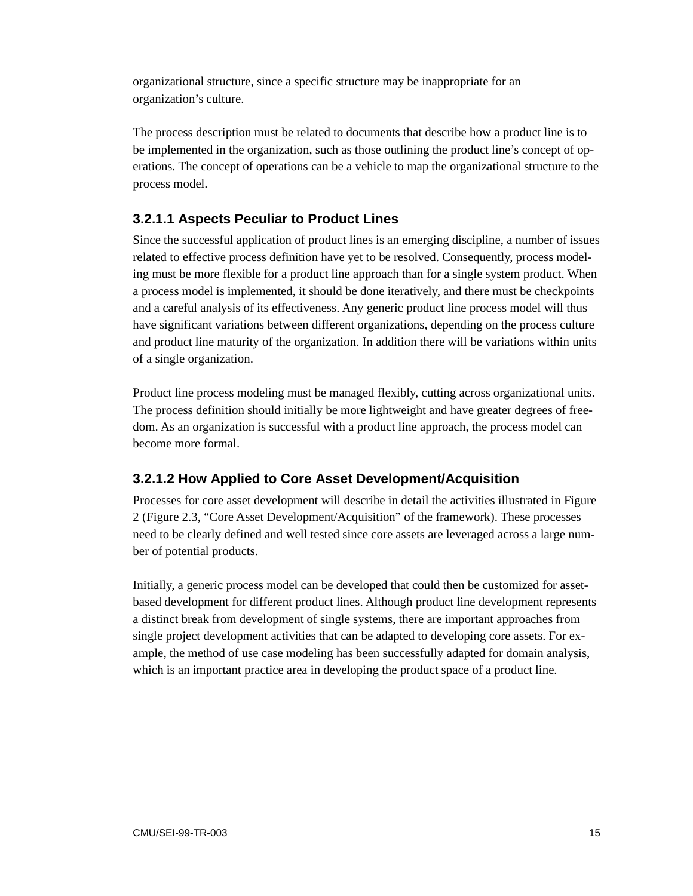organizational structure, since a specific structure may be inappropriate for an organization's culture.

The process description must be related to documents that describe how a product line is to be implemented in the organization, such as those outlining the product line's concept of operations. The concept of operations can be a vehicle to map the organizational structure to the process model.

#### **3.2.1.1 Aspects Peculiar to Product Lines**

Since the successful application of product lines is an emerging discipline, a number of issues related to effective process definition have yet to be resolved. Consequently, process modeling must be more flexible for a product line approach than for a single system product. When a process model is implemented, it should be done iteratively, and there must be checkpoints and a careful analysis of its effectiveness. Any generic product line process model will thus have significant variations between different organizations, depending on the process culture and product line maturity of the organization. In addition there will be variations within units of a single organization.

Product line process modeling must be managed flexibly, cutting across organizational units. The process definition should initially be more lightweight and have greater degrees of freedom. As an organization is successful with a product line approach, the process model can become more formal.

#### **3.2.1.2 How Applied to Core Asset Development/Acquisition**

Processes for core asset development will describe in detail the activities illustrated in Figure 2 (Figure 2.3, "Core Asset Development/Acquisition" of the framework). These processes need to be clearly defined and well tested since core assets are leveraged across a large number of potential products.

Initially, a generic process model can be developed that could then be customized for assetbased development for different product lines. Although product line development represents a distinct break from development of single systems, there are important approaches from single project development activities that can be adapted to developing core assets. For example, the method of use case modeling has been successfully adapted for domain analysis, which is an important practice area in developing the product space of a product line.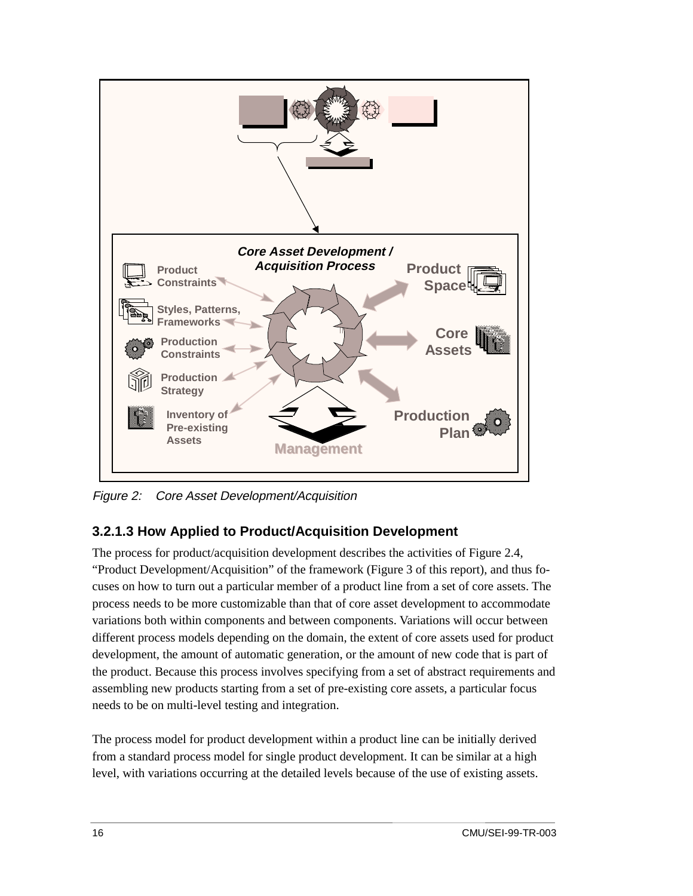

Figure 2: Core Asset Development/Acquisition

#### **3.2.1.3 How Applied to Product/Acquisition Development**

The process for product/acquisition development describes the activities of Figure 2.4, "Product Development/Acquisition" of the framework (Figure 3 of this report), and thus focuses on how to turn out a particular member of a product line from a set of core assets. The process needs to be more customizable than that of core asset development to accommodate variations both within components and between components. Variations will occur between different process models depending on the domain, the extent of core assets used for product development, the amount of automatic generation, or the amount of new code that is part of the product. Because this process involves specifying from a set of abstract requirements and assembling new products starting from a set of pre-existing core assets, a particular focus needs to be on multi-level testing and integration.

The process model for product development within a product line can be initially derived from a standard process model for single product development. It can be similar at a high level, with variations occurring at the detailed levels because of the use of existing assets.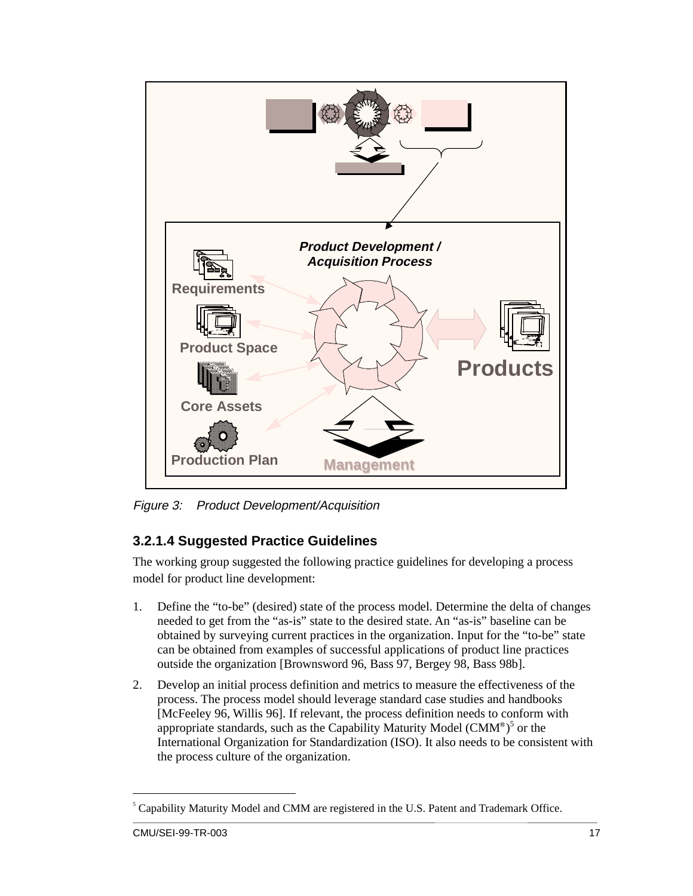

Figure 3: Product Development/Acquisition

#### **3.2.1.4 Suggested Practice Guidelines**

The working group suggested the following practice guidelines for developing a process model for product line development:

- 1. Define the "to-be" (desired) state of the process model. Determine the delta of changes needed to get from the "as-is" state to the desired state. An "as-is" baseline can be obtained by surveying current practices in the organization. Input for the "to-be" state can be obtained from examples of successful applications of product line practices outside the organization [Brownsword 96, Bass 97, Bergey 98, Bass 98b].
- 2. Develop an initial process definition and metrics to measure the effectiveness of the process. The process model should leverage standard case studies and handbooks [McFeeley 96, Willis 96]. If relevant, the process definition needs to conform with appropriate standards, such as the Capability Maturity Model (CMM®)<sup>5</sup> or the International Organization for Standardization (ISO). It also needs to be consistent with the process culture of the organization.

 <sup>5</sup> Capability Maturity Model and CMM are registered in the U.S. Patent and Trademark Office.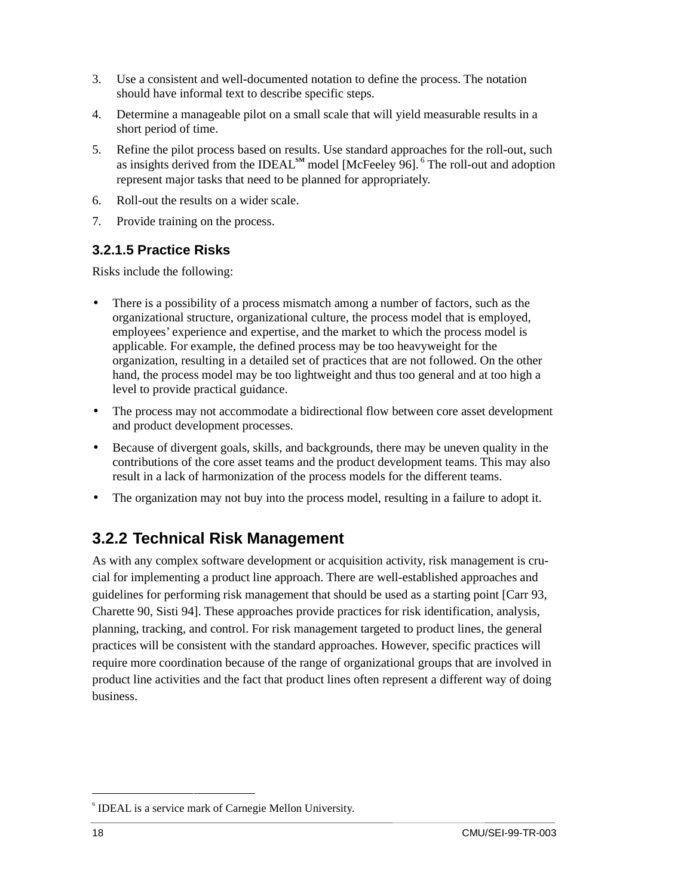- 3. Use a consistent and well-documented notation to define the process. The notation should have informal text to describe specific steps.
- 4. Determine a manageable pilot on a small scale that will yield measurable results in a short period of time.
- 5. Refine the pilot process based on results. Use standard approaches for the roll-out, such as insights derived from the IDEAL**SM** model [McFeeley 96]. 6 The roll-out and adoption represent major tasks that need to be planned for appropriately.
- 6. Roll-out the results on a wider scale.
- 7. Provide training on the process.

#### **3.2.1.5 Practice Risks**

Risks include the following:

- There is a possibility of a process mismatch among a number of factors, such as the organizational structure, organizational culture, the process model that is employed, employees' experience and expertise, and the market to which the process model is applicable. For example, the defined process may be too heavyweight for the organization, resulting in a detailed set of practices that are not followed. On the other hand, the process model may be too lightweight and thus too general and at too high a level to provide practical guidance.
- The process may not accommodate a bidirectional flow between core asset development and product development processes.
- Because of divergent goals, skills, and backgrounds, there may be uneven quality in the contributions of the core asset teams and the product development teams. This may also result in a lack of harmonization of the process models for the different teams.
- The organization may not buy into the process model, resulting in a failure to adopt it.

#### **3.2.2 Technical Risk Management**

As with any complex software development or acquisition activity, risk management is crucial for implementing a product line approach. There are well-established approaches and guidelines for performing risk management that should be used as a starting point [Carr 93, Charette 90, Sisti 94]. These approaches provide practices for risk identification, analysis, planning, tracking, and control. For risk management targeted to product lines, the general practices will be consistent with the standard approaches. However, specific practices will require more coordination because of the range of organizational groups that are involved in product line activities and the fact that product lines often represent a different way of doing business.

 <sup>6</sup>  $6$  IDEAL is a service mark of Carnegie Mellon University.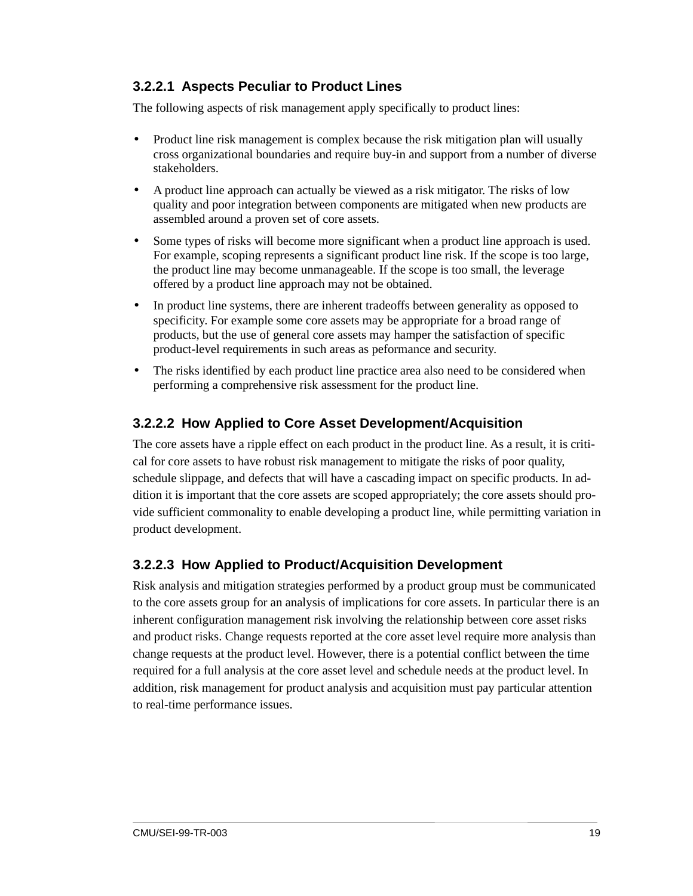#### **3.2.2.1 Aspects Peculiar to Product Lines**

The following aspects of risk management apply specifically to product lines:

- Product line risk management is complex because the risk mitigation plan will usually cross organizational boundaries and require buy-in and support from a number of diverse stakeholders.
- A product line approach can actually be viewed as a risk mitigator. The risks of low quality and poor integration between components are mitigated when new products are assembled around a proven set of core assets.
- Some types of risks will become more significant when a product line approach is used. For example, scoping represents a significant product line risk. If the scope is too large, the product line may become unmanageable. If the scope is too small, the leverage offered by a product line approach may not be obtained.
- In product line systems, there are inherent tradeoffs between generality as opposed to specificity. For example some core assets may be appropriate for a broad range of products, but the use of general core assets may hamper the satisfaction of specific product-level requirements in such areas as peformance and security.
- The risks identified by each product line practice area also need to be considered when performing a comprehensive risk assessment for the product line.

#### **3.2.2.2 How Applied to Core Asset Development/Acquisition**

The core assets have a ripple effect on each product in the product line. As a result, it is critical for core assets to have robust risk management to mitigate the risks of poor quality, schedule slippage, and defects that will have a cascading impact on specific products. In addition it is important that the core assets are scoped appropriately; the core assets should provide sufficient commonality to enable developing a product line, while permitting variation in product development.

#### **3.2.2.3 How Applied to Product/Acquisition Development**

Risk analysis and mitigation strategies performed by a product group must be communicated to the core assets group for an analysis of implications for core assets. In particular there is an inherent configuration management risk involving the relationship between core asset risks and product risks. Change requests reported at the core asset level require more analysis than change requests at the product level. However, there is a potential conflict between the time required for a full analysis at the core asset level and schedule needs at the product level. In addition, risk management for product analysis and acquisition must pay particular attention to real-time performance issues.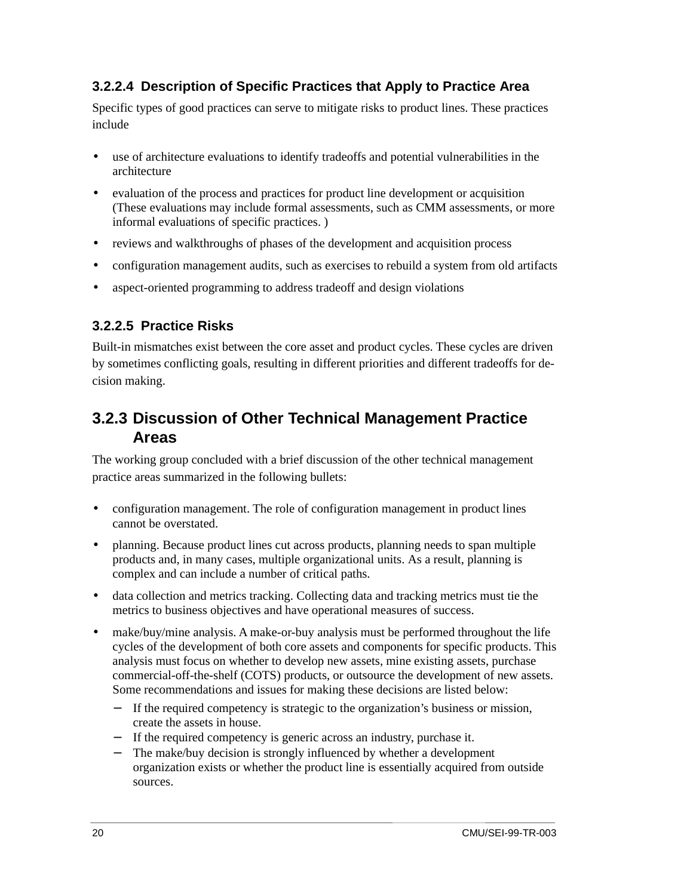#### **3.2.2.4 Description of Specific Practices that Apply to Practice Area**

Specific types of good practices can serve to mitigate risks to product lines. These practices include

- use of architecture evaluations to identify tradeoffs and potential vulnerabilities in the architecture
- evaluation of the process and practices for product line development or acquisition (These evaluations may include formal assessments, such as CMM assessments, or more informal evaluations of specific practices. )
- reviews and walkthroughs of phases of the development and acquisition process
- configuration management audits, such as exercises to rebuild a system from old artifacts
- aspect-oriented programming to address tradeoff and design violations

#### **3.2.2.5 Practice Risks**

Built-in mismatches exist between the core asset and product cycles. These cycles are driven by sometimes conflicting goals, resulting in different priorities and different tradeoffs for decision making.

#### **3.2.3 Discussion of Other Technical Management Practice Areas**

The working group concluded with a brief discussion of the other technical management practice areas summarized in the following bullets:

- configuration management. The role of configuration management in product lines cannot be overstated.
- planning. Because product lines cut across products, planning needs to span multiple products and, in many cases, multiple organizational units. As a result, planning is complex and can include a number of critical paths.
- data collection and metrics tracking. Collecting data and tracking metrics must tie the metrics to business objectives and have operational measures of success.
- make/buy/mine analysis. A make-or-buy analysis must be performed throughout the life cycles of the development of both core assets and components for specific products. This analysis must focus on whether to develop new assets, mine existing assets, purchase commercial-off-the-shelf (COTS) products, or outsource the development of new assets. Some recommendations and issues for making these decisions are listed below:
	- − If the required competency is strategic to the organization's business or mission, create the assets in house.
	- − If the required competency is generic across an industry, purchase it.
	- − The make/buy decision is strongly influenced by whether a development organization exists or whether the product line is essentially acquired from outside sources.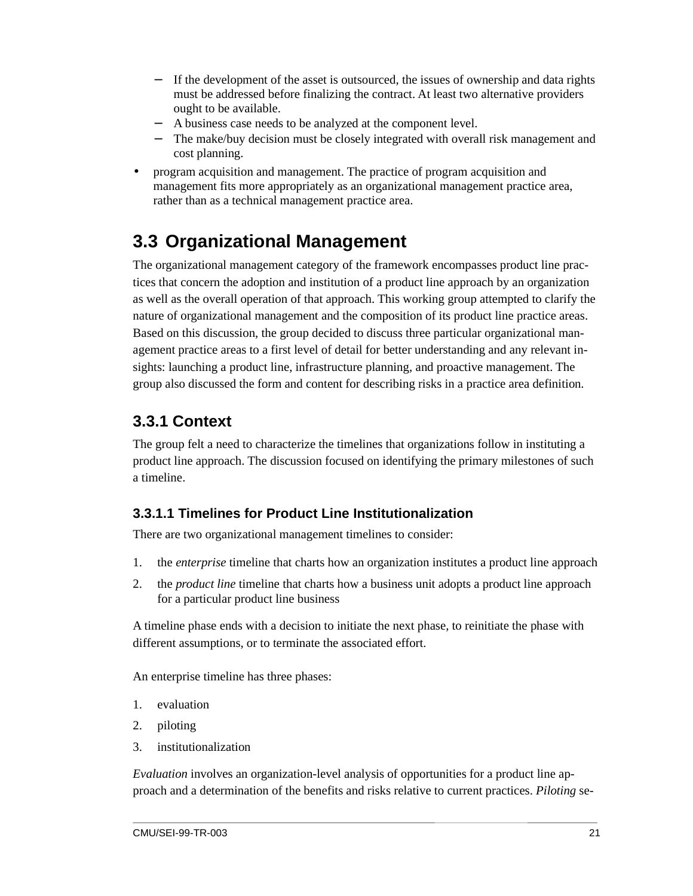- − If the development of the asset is outsourced, the issues of ownership and data rights must be addressed before finalizing the contract. At least two alternative providers ought to be available.
- A business case needs to be analyzed at the component level.
- The make/buy decision must be closely integrated with overall risk management and cost planning.
- program acquisition and management. The practice of program acquisition and management fits more appropriately as an organizational management practice area, rather than as a technical management practice area.

### **3.3 Organizational Management**

The organizational management category of the framework encompasses product line practices that concern the adoption and institution of a product line approach by an organization as well as the overall operation of that approach. This working group attempted to clarify the nature of organizational management and the composition of its product line practice areas. Based on this discussion, the group decided to discuss three particular organizational management practice areas to a first level of detail for better understanding and any relevant insights: launching a product line, infrastructure planning, and proactive management. The group also discussed the form and content for describing risks in a practice area definition.

#### **3.3.1 Context**

The group felt a need to characterize the timelines that organizations follow in instituting a product line approach. The discussion focused on identifying the primary milestones of such a timeline.

#### **3.3.1.1 Timelines for Product Line Institutionalization**

There are two organizational management timelines to consider:

- 1. the *enterprise* timeline that charts how an organization institutes a product line approach
- 2. the *product line* timeline that charts how a business unit adopts a product line approach for a particular product line business

A timeline phase ends with a decision to initiate the next phase, to reinitiate the phase with different assumptions, or to terminate the associated effort.

An enterprise timeline has three phases:

- 1. evaluation
- 2. piloting
- 3. institutionalization

*Evaluation* involves an organization-level analysis of opportunities for a product line approach and a determination of the benefits and risks relative to current practices. *Piloting* se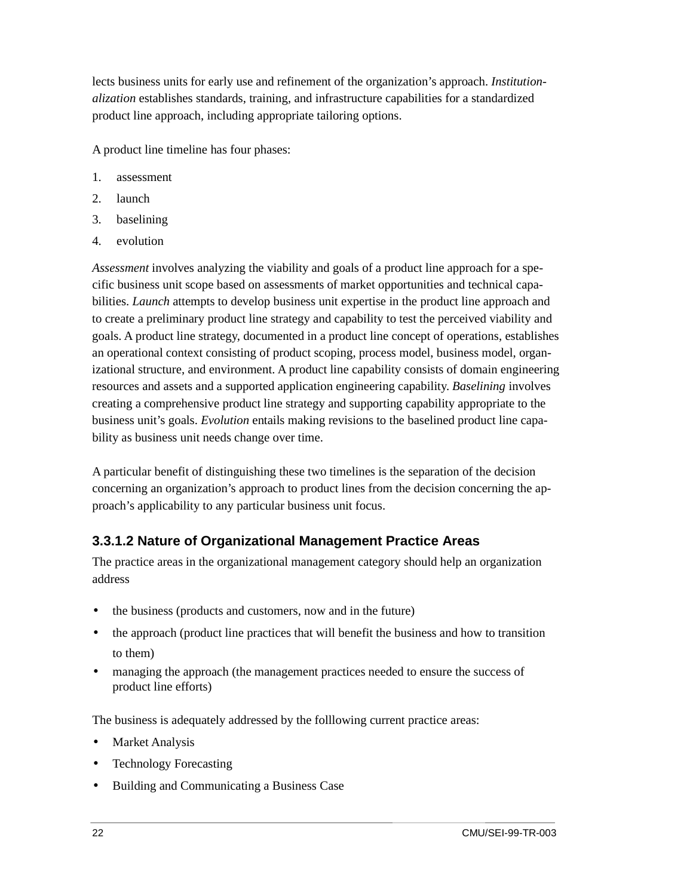lects business units for early use and refinement of the organization's approach. *Institutionalization* establishes standards, training, and infrastructure capabilities for a standardized product line approach, including appropriate tailoring options.

A product line timeline has four phases:

- 1. assessment
- 2. launch
- 3. baselining
- 4. evolution

*Assessment* involves analyzing the viability and goals of a product line approach for a specific business unit scope based on assessments of market opportunities and technical capabilities. *Launch* attempts to develop business unit expertise in the product line approach and to create a preliminary product line strategy and capability to test the perceived viability and goals. A product line strategy, documented in a product line concept of operations, establishes an operational context consisting of product scoping, process model, business model, organizational structure, and environment. A product line capability consists of domain engineering resources and assets and a supported application engineering capability. *Baselining* involves creating a comprehensive product line strategy and supporting capability appropriate to the business unit's goals. *Evolution* entails making revisions to the baselined product line capability as business unit needs change over time.

A particular benefit of distinguishing these two timelines is the separation of the decision concerning an organization's approach to product lines from the decision concerning the approach's applicability to any particular business unit focus.

#### **3.3.1.2 Nature of Organizational Management Practice Areas**

The practice areas in the organizational management category should help an organization address

- the business (products and customers, now and in the future)
- the approach (product line practices that will benefit the business and how to transition to them)
- managing the approach (the management practices needed to ensure the success of product line efforts)

The business is adequately addressed by the folllowing current practice areas:

- **Market Analysis**
- Technology Forecasting
- Building and Communicating a Business Case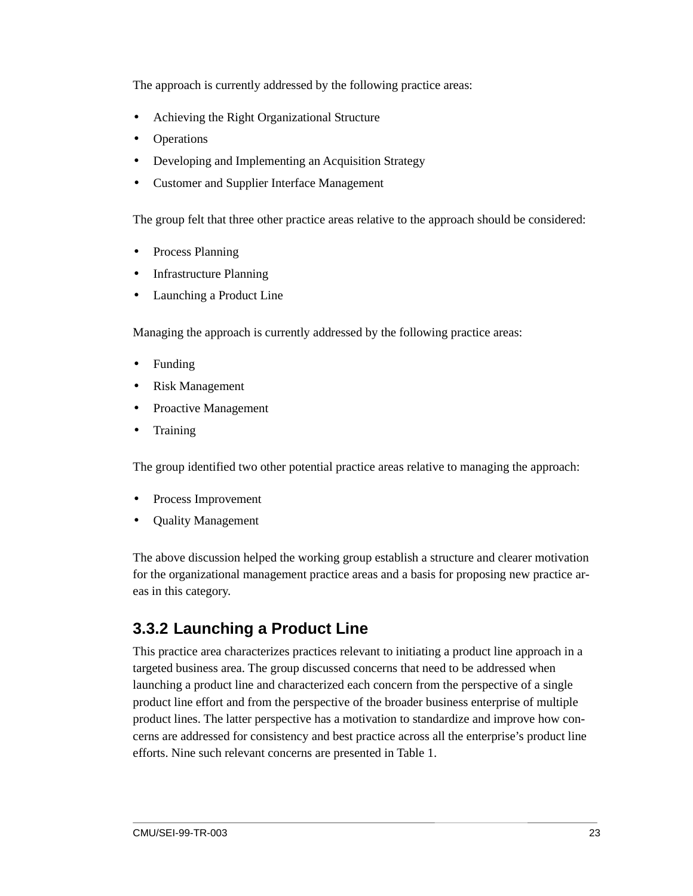The approach is currently addressed by the following practice areas:

- Achieving the Right Organizational Structure
- Operations
- Developing and Implementing an Acquisition Strategy
- Customer and Supplier Interface Management

The group felt that three other practice areas relative to the approach should be considered:

- Process Planning
- Infrastructure Planning
- Launching a Product Line

Managing the approach is currently addressed by the following practice areas:

- Funding
- Risk Management
- Proactive Management
- **Training**

The group identified two other potential practice areas relative to managing the approach:

- Process Improvement
- Quality Management

The above discussion helped the working group establish a structure and clearer motivation for the organizational management practice areas and a basis for proposing new practice areas in this category.

### **3.3.2 Launching a Product Line**

This practice area characterizes practices relevant to initiating a product line approach in a targeted business area. The group discussed concerns that need to be addressed when launching a product line and characterized each concern from the perspective of a single product line effort and from the perspective of the broader business enterprise of multiple product lines. The latter perspective has a motivation to standardize and improve how concerns are addressed for consistency and best practice across all the enterprise's product line efforts. Nine such relevant concerns are presented in Table 1.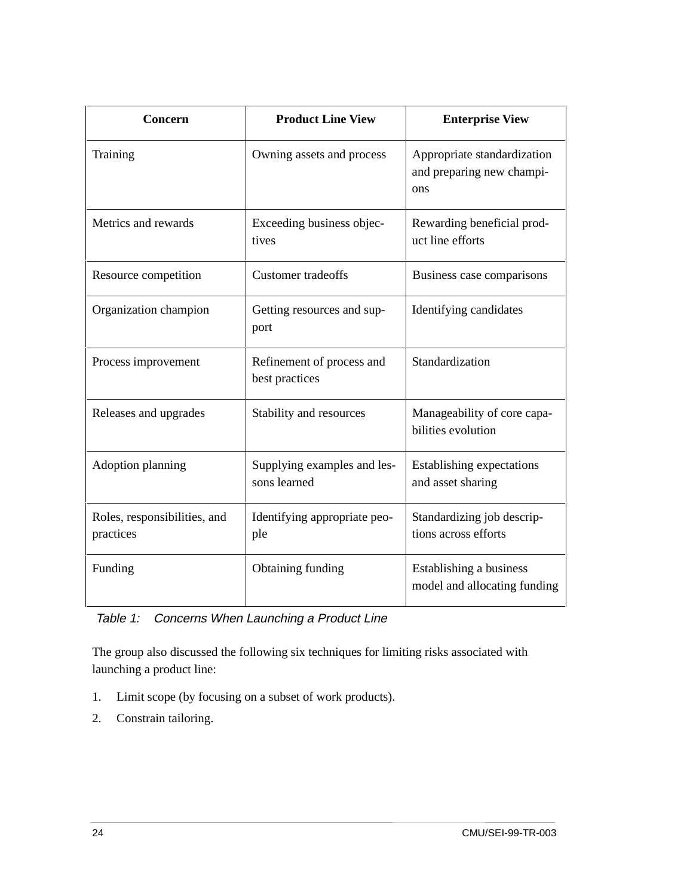| Concern                                   | <b>Product Line View</b>                    | <b>Enterprise View</b>                                          |  |  |
|-------------------------------------------|---------------------------------------------|-----------------------------------------------------------------|--|--|
| Training                                  | Owning assets and process                   | Appropriate standardization<br>and preparing new champi-<br>ons |  |  |
| Metrics and rewards                       | Exceeding business objec-<br>tives          | Rewarding beneficial prod-<br>uct line efforts                  |  |  |
| Resource competition                      | <b>Customer</b> tradeoffs                   | Business case comparisons                                       |  |  |
| Organization champion                     | Getting resources and sup-<br>port          | Identifying candidates                                          |  |  |
| Process improvement                       | Refinement of process and<br>best practices | Standardization                                                 |  |  |
| Releases and upgrades                     | Stability and resources                     | Manageability of core capa-<br>bilities evolution               |  |  |
| Adoption planning                         | Supplying examples and les-<br>sons learned | Establishing expectations<br>and asset sharing                  |  |  |
| Roles, responsibilities, and<br>practices | Identifying appropriate peo-<br>ple         | Standardizing job descrip-<br>tions across efforts              |  |  |
| Funding                                   | Obtaining funding                           | Establishing a business<br>model and allocating funding         |  |  |

#### Table 1: Concerns When Launching a Product Line

The group also discussed the following six techniques for limiting risks associated with launching a product line:

- 1. Limit scope (by focusing on a subset of work products).
- 2. Constrain tailoring.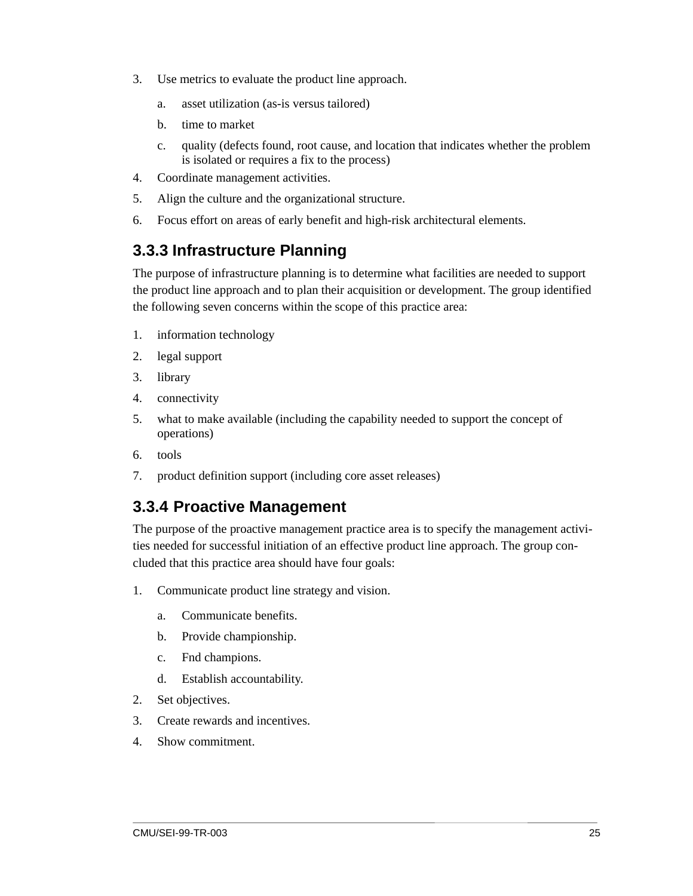- 3. Use metrics to evaluate the product line approach.
	- a. asset utilization (as-is versus tailored)
	- b. time to market
	- c. quality (defects found, root cause, and location that indicates whether the problem is isolated or requires a fix to the process)
- 4. Coordinate management activities.
- 5. Align the culture and the organizational structure.
- 6. Focus effort on areas of early benefit and high-risk architectural elements.

#### **3.3.3 Infrastructure Planning**

The purpose of infrastructure planning is to determine what facilities are needed to support the product line approach and to plan their acquisition or development. The group identified the following seven concerns within the scope of this practice area:

- 1. information technology
- 2. legal support
- 3. library
- 4. connectivity
- 5. what to make available (including the capability needed to support the concept of operations)
- 6. tools
- 7. product definition support (including core asset releases)

#### **3.3.4 Proactive Management**

The purpose of the proactive management practice area is to specify the management activities needed for successful initiation of an effective product line approach. The group concluded that this practice area should have four goals:

- 1. Communicate product line strategy and vision.
	- a. Communicate benefits.
	- b. Provide championship.
	- c. Fnd champions.
	- d. Establish accountability.
- 2. Set objectives.
- 3. Create rewards and incentives.
- 4. Show commitment.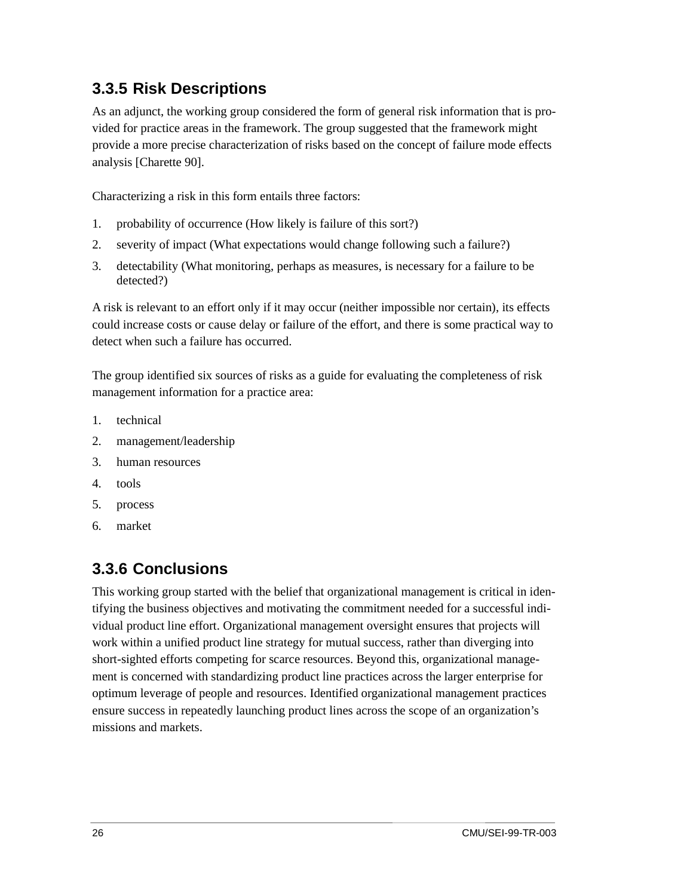#### **3.3.5 Risk Descriptions**

As an adjunct, the working group considered the form of general risk information that is provided for practice areas in the framework. The group suggested that the framework might provide a more precise characterization of risks based on the concept of failure mode effects analysis [Charette 90].

Characterizing a risk in this form entails three factors:

- 1. probability of occurrence (How likely is failure of this sort?)
- 2. severity of impact (What expectations would change following such a failure?)
- 3. detectability (What monitoring, perhaps as measures, is necessary for a failure to be detected?)

A risk is relevant to an effort only if it may occur (neither impossible nor certain), its effects could increase costs or cause delay or failure of the effort, and there is some practical way to detect when such a failure has occurred.

The group identified six sources of risks as a guide for evaluating the completeness of risk management information for a practice area:

- 1. technical
- 2. management/leadership
- 3. human resources
- 4. tools
- 5. process
- 6. market

#### **3.3.6 Conclusions**

This working group started with the belief that organizational management is critical in identifying the business objectives and motivating the commitment needed for a successful individual product line effort. Organizational management oversight ensures that projects will work within a unified product line strategy for mutual success, rather than diverging into short-sighted efforts competing for scarce resources. Beyond this, organizational management is concerned with standardizing product line practices across the larger enterprise for optimum leverage of people and resources. Identified organizational management practices ensure success in repeatedly launching product lines across the scope of an organization's missions and markets.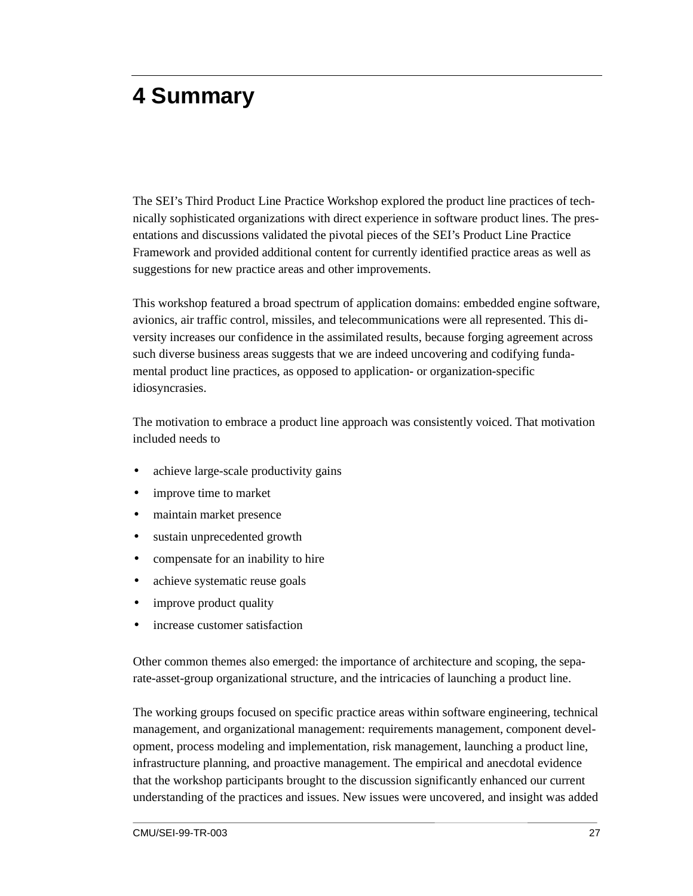## **4 Summary**

The SEI's Third Product Line Practice Workshop explored the product line practices of technically sophisticated organizations with direct experience in software product lines. The presentations and discussions validated the pivotal pieces of the SEI's Product Line Practice Framework and provided additional content for currently identified practice areas as well as suggestions for new practice areas and other improvements.

This workshop featured a broad spectrum of application domains: embedded engine software, avionics, air traffic control, missiles, and telecommunications were all represented. This diversity increases our confidence in the assimilated results, because forging agreement across such diverse business areas suggests that we are indeed uncovering and codifying fundamental product line practices, as opposed to application- or organization-specific idiosyncrasies.

The motivation to embrace a product line approach was consistently voiced. That motivation included needs to

- achieve large-scale productivity gains
- improve time to market
- maintain market presence
- sustain unprecedented growth
- compensate for an inability to hire
- achieve systematic reuse goals
- improve product quality
- increase customer satisfaction

Other common themes also emerged: the importance of architecture and scoping, the separate-asset-group organizational structure, and the intricacies of launching a product line.

The working groups focused on specific practice areas within software engineering, technical management, and organizational management: requirements management, component development, process modeling and implementation, risk management, launching a product line, infrastructure planning, and proactive management. The empirical and anecdotal evidence that the workshop participants brought to the discussion significantly enhanced our current understanding of the practices and issues. New issues were uncovered, and insight was added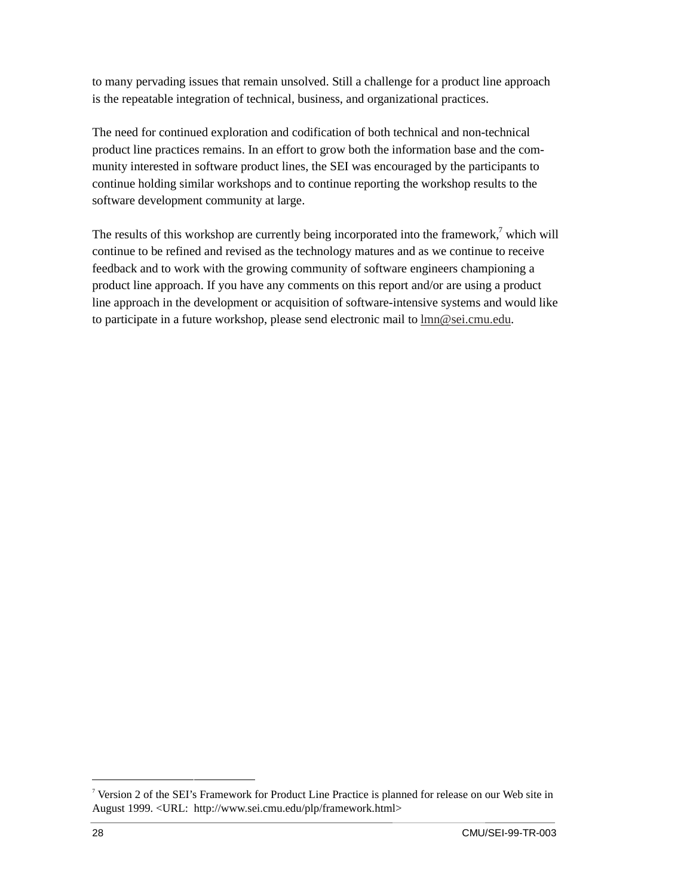to many pervading issues that remain unsolved. Still a challenge for a product line approach is the repeatable integration of technical, business, and organizational practices.

The need for continued exploration and codification of both technical and non-technical product line practices remains. In an effort to grow both the information base and the community interested in software product lines, the SEI was encouraged by the participants to continue holding similar workshops and to continue reporting the workshop results to the software development community at large.

The results of this workshop are currently being incorporated into the framework, $7$  which will continue to be refined and revised as the technology matures and as we continue to receive feedback and to work with the growing community of software engineers championing a product line approach. If you have any comments on this report and/or are using a product line approach in the development or acquisition of software-intensive systems and would like to participate in a future workshop, please send electronic mail to lmn@sei.cmu.edu.

<sup>-&</sup>lt;br>7 <sup>7</sup> Version 2 of the SEI's Framework for Product Line Practice is planned for release on our Web site in August 1999. <URL: http://www.sei.cmu.edu/plp/framework.html>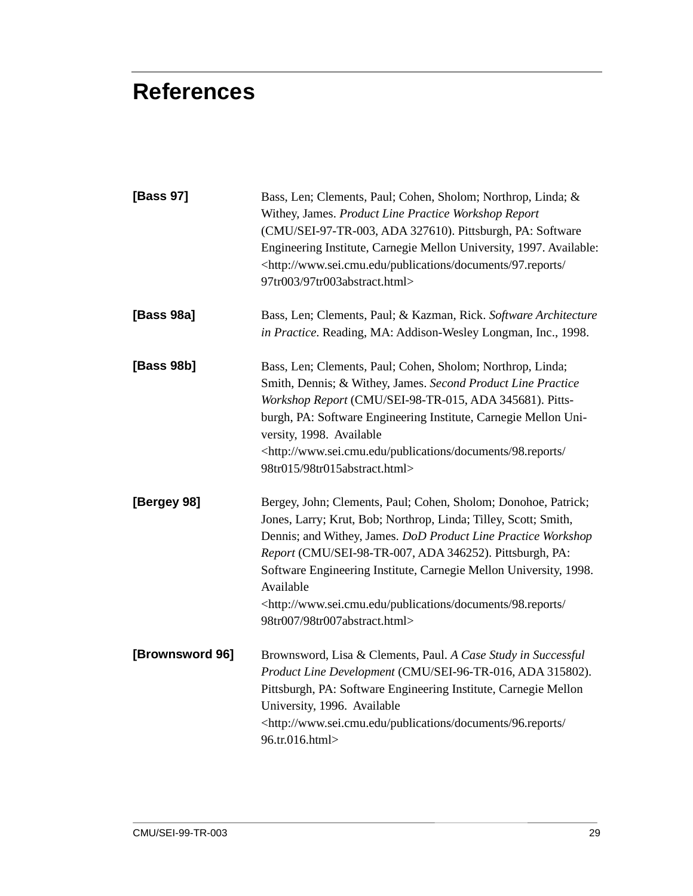## **References**

| [Bass 97]       | Bass, Len; Clements, Paul; Cohen, Sholom; Northrop, Linda; &<br>Withey, James. Product Line Practice Workshop Report<br>(CMU/SEI-97-TR-003, ADA 327610). Pittsburgh, PA: Software<br>Engineering Institute, Carnegie Mellon University, 1997. Available:<br><http: 97.reports="" <br="" documents="" publications="" www.sei.cmu.edu="">97tr003/97tr003abstract.html&gt;</http:>                                                                                        |
|-----------------|-------------------------------------------------------------------------------------------------------------------------------------------------------------------------------------------------------------------------------------------------------------------------------------------------------------------------------------------------------------------------------------------------------------------------------------------------------------------------|
| [Bass 98a]      | Bass, Len; Clements, Paul; & Kazman, Rick. Software Architecture<br>in Practice. Reading, MA: Addison-Wesley Longman, Inc., 1998.                                                                                                                                                                                                                                                                                                                                       |
| [Bass 98b]      | Bass, Len; Clements, Paul; Cohen, Sholom; Northrop, Linda;<br>Smith, Dennis; & Withey, James. Second Product Line Practice<br>Workshop Report (CMU/SEI-98-TR-015, ADA 345681). Pitts-<br>burgh, PA: Software Engineering Institute, Carnegie Mellon Uni-<br>versity, 1998. Available<br><http: 98.reports="" <br="" documents="" publications="" www.sei.cmu.edu="">98tr015/98tr015abstract.html&gt;</http:>                                                            |
| [Bergey 98]     | Bergey, John; Clements, Paul; Cohen, Sholom; Donohoe, Patrick;<br>Jones, Larry; Krut, Bob; Northrop, Linda; Tilley, Scott; Smith,<br>Dennis; and Withey, James. DoD Product Line Practice Workshop<br>Report (CMU/SEI-98-TR-007, ADA 346252). Pittsburgh, PA:<br>Software Engineering Institute, Carnegie Mellon University, 1998.<br>Available<br><http: 98.reports="" <br="" documents="" publications="" www.sei.cmu.edu="">98tr007/98tr007abstract.html&gt;</http:> |
| [Brownsword 96] | Brownsword, Lisa & Clements, Paul. A Case Study in Successful<br>Product Line Development (CMU/SEI-96-TR-016, ADA 315802).<br>Pittsburgh, PA: Software Engineering Institute, Carnegie Mellon<br>University, 1996. Available<br><http: 96.reports="" <br="" documents="" publications="" www.sei.cmu.edu="">96.tr.016.html&gt;</http:>                                                                                                                                  |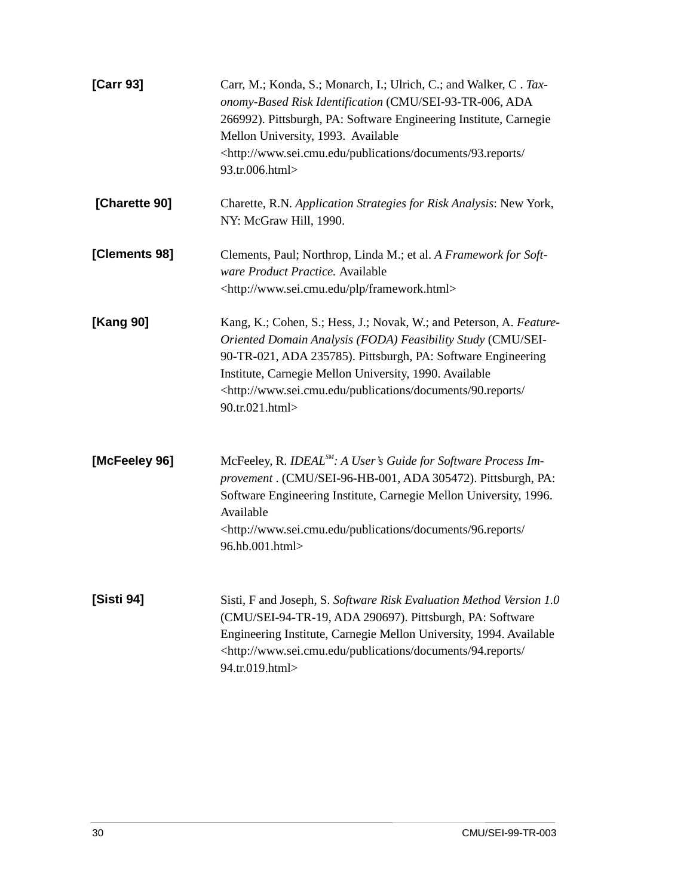| [Carr 93]     | Carr, M.; Konda, S.; Monarch, I.; Ulrich, C.; and Walker, C. Tax-<br>onomy-Based Risk Identification (CMU/SEI-93-TR-006, ADA<br>266992). Pittsburgh, PA: Software Engineering Institute, Carnegie<br>Mellon University, 1993. Available<br><http: 93.reports="" <br="" documents="" publications="" www.sei.cmu.edu="">93.tr.006.html&gt;</http:>                      |
|---------------|------------------------------------------------------------------------------------------------------------------------------------------------------------------------------------------------------------------------------------------------------------------------------------------------------------------------------------------------------------------------|
| [Charette 90] | Charette, R.N. Application Strategies for Risk Analysis: New York,<br>NY: McGraw Hill, 1990.                                                                                                                                                                                                                                                                           |
| [Clements 98] | Clements, Paul; Northrop, Linda M.; et al. A Framework for Soft-<br>ware Product Practice. Available<br><http: framework.html="" plp="" www.sei.cmu.edu=""></http:>                                                                                                                                                                                                    |
| [Kang 90]     | Kang, K.; Cohen, S.; Hess, J.; Novak, W.; and Peterson, A. Feature-<br>Oriented Domain Analysis (FODA) Feasibility Study (CMU/SEI-<br>90-TR-021, ADA 235785). Pittsburgh, PA: Software Engineering<br>Institute, Carnegie Mellon University, 1990. Available<br><http: 90.reports="" <br="" documents="" publications="" www.sei.cmu.edu="">90.tr.021.html&gt;</http:> |
| [McFeeley 96] | McFeeley, R. IDEAL <sup>SM</sup> : A User's Guide for Software Process Im-<br>provement . (CMU/SEI-96-HB-001, ADA 305472). Pittsburgh, PA:<br>Software Engineering Institute, Carnegie Mellon University, 1996.<br>Available<br><http: 96.reports="" <br="" documents="" publications="" www.sei.cmu.edu="">96.hb.001.html&gt;</http:>                                 |
| [Sisti 94]    | Sisti, F and Joseph, S. Software Risk Evaluation Method Version 1.0<br>(CMU/SEI-94-TR-19, ADA 290697). Pittsburgh, PA: Software<br>Engineering Institute, Carnegie Mellon University, 1994. Available<br><http: 94.reports="" <br="" documents="" publications="" www.sei.cmu.edu="">94.tr.019.html&gt;</http:>                                                        |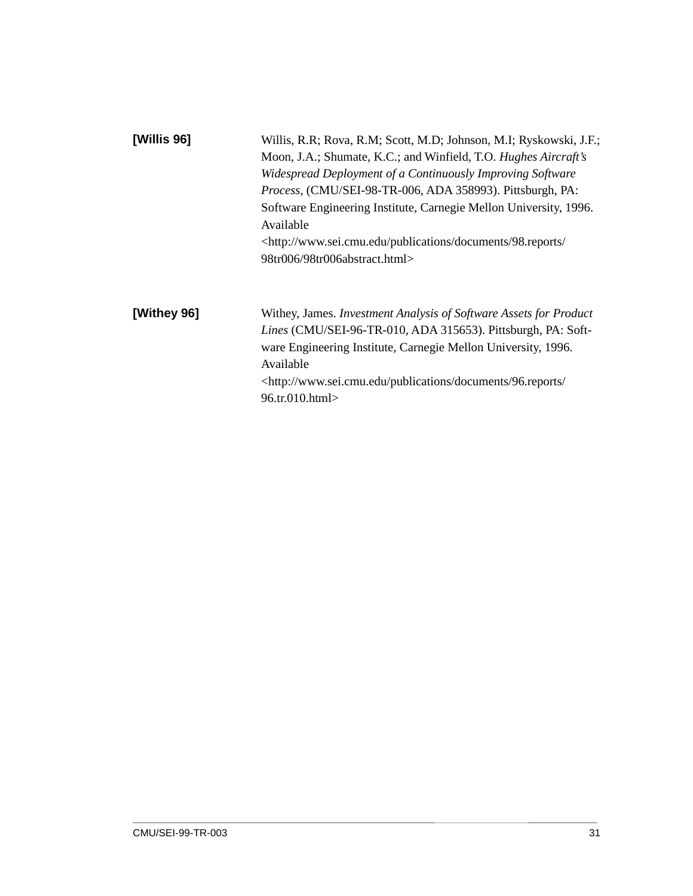| [Willis 96] | Willis, R.R; Rova, R.M; Scott, M.D; Johnson, M.I; Ryskowski, J.F.;<br>Moon, J.A.; Shumate, K.C.; and Winfield, T.O. Hughes Aircraft's<br>Widespread Deployment of a Continuously Improving Software<br>Process, (CMU/SEI-98-TR-006, ADA 358993). Pittsburgh, PA:<br>Software Engineering Institute, Carnegie Mellon University, 1996.<br>Available |
|-------------|----------------------------------------------------------------------------------------------------------------------------------------------------------------------------------------------------------------------------------------------------------------------------------------------------------------------------------------------------|
|             | <http: 98.reports="" <br="" documents="" publications="" www.sei.cmu.edu="">98tr006/98tr006abstract.html&gt;</http:>                                                                                                                                                                                                                               |
| [Withey 96] | Withey, James. Investment Analysis of Software Assets for Product<br>Lines (CMU/SEI-96-TR-010, ADA 315653). Pittsburgh, PA: Soft-                                                                                                                                                                                                                  |
|             | ware Engineering Institute, Carnegie Mellon University, 1996.<br>Available<br><http: 96.reports="" <br="" documents="" publications="" www.sei.cmu.edu="">96.tr.010.html&gt;</http:>                                                                                                                                                               |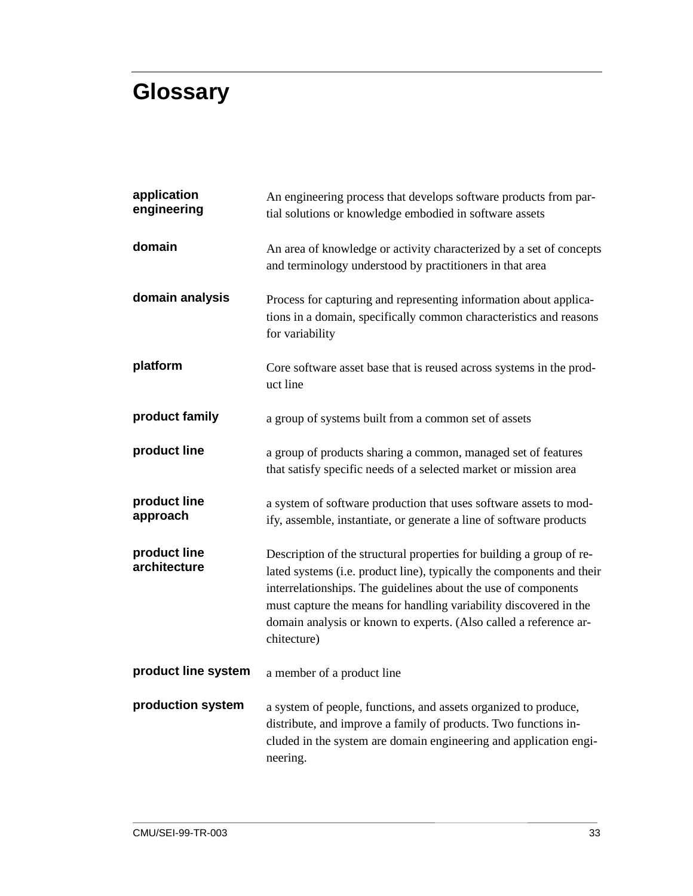## **Glossary**

| application<br>engineering   | An engineering process that develops software products from par-<br>tial solutions or knowledge embodied in software assets                                                                                                                                                                                                                                              |  |  |  |  |
|------------------------------|--------------------------------------------------------------------------------------------------------------------------------------------------------------------------------------------------------------------------------------------------------------------------------------------------------------------------------------------------------------------------|--|--|--|--|
| domain                       | An area of knowledge or activity characterized by a set of concepts<br>and terminology understood by practitioners in that area                                                                                                                                                                                                                                          |  |  |  |  |
| domain analysis              | Process for capturing and representing information about applica-<br>tions in a domain, specifically common characteristics and reasons<br>for variability                                                                                                                                                                                                               |  |  |  |  |
| platform                     | Core software asset base that is reused across systems in the prod-<br>uct line                                                                                                                                                                                                                                                                                          |  |  |  |  |
| product family               | a group of systems built from a common set of assets                                                                                                                                                                                                                                                                                                                     |  |  |  |  |
| product line                 | a group of products sharing a common, managed set of features<br>that satisfy specific needs of a selected market or mission area                                                                                                                                                                                                                                        |  |  |  |  |
| product line<br>approach     | a system of software production that uses software assets to mod-<br>ify, assemble, instantiate, or generate a line of software products                                                                                                                                                                                                                                 |  |  |  |  |
| product line<br>architecture | Description of the structural properties for building a group of re-<br>lated systems (i.e. product line), typically the components and their<br>interrelationships. The guidelines about the use of components<br>must capture the means for handling variability discovered in the<br>domain analysis or known to experts. (Also called a reference ar-<br>chitecture) |  |  |  |  |
| product line system          | a member of a product line                                                                                                                                                                                                                                                                                                                                               |  |  |  |  |
| production system            | a system of people, functions, and assets organized to produce,<br>distribute, and improve a family of products. Two functions in-<br>cluded in the system are domain engineering and application engi-<br>neering.                                                                                                                                                      |  |  |  |  |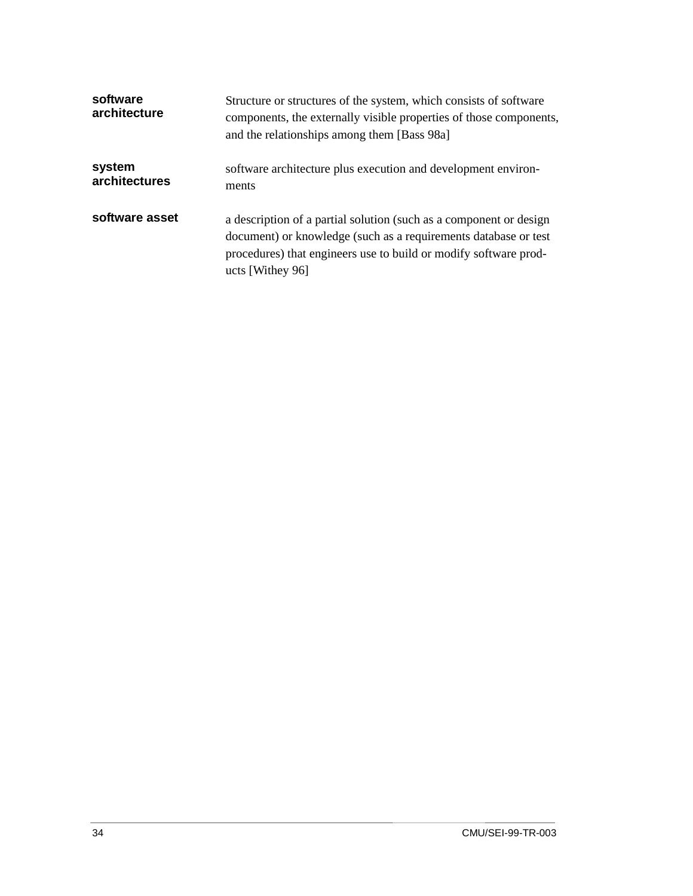| software<br>architecture | Structure or structures of the system, which consists of software<br>components, the externally visible properties of those components,<br>and the relationships among them [Bass 98a]                                        |  |  |  |
|--------------------------|-------------------------------------------------------------------------------------------------------------------------------------------------------------------------------------------------------------------------------|--|--|--|
| system<br>architectures  | software architecture plus execution and development environ-<br>ments                                                                                                                                                        |  |  |  |
| software asset           | a description of a partial solution (such as a component or design<br>document) or knowledge (such as a requirements database or test<br>procedures) that engineers use to build or modify software prod-<br>ucts [Withey 96] |  |  |  |